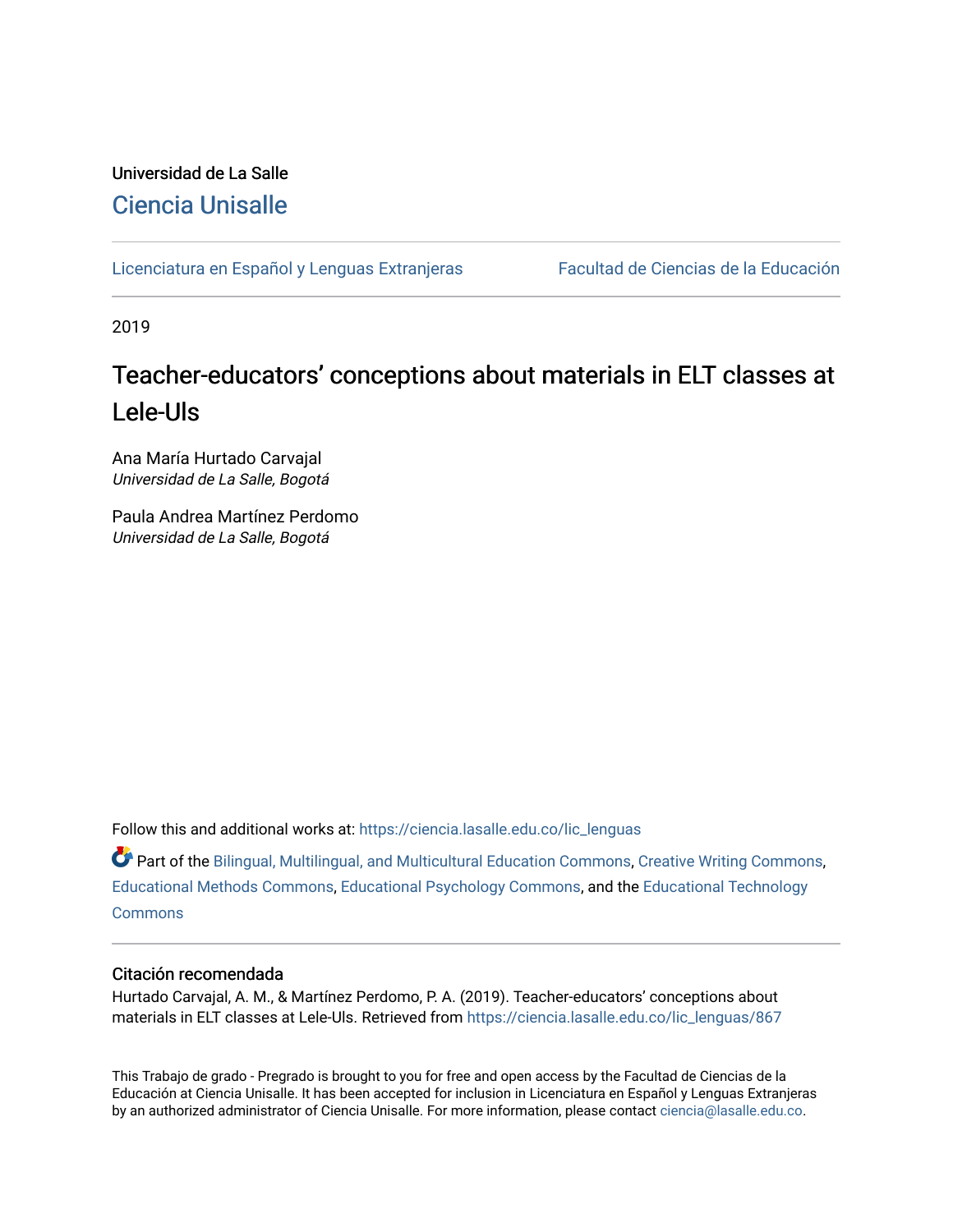# Universidad de La Salle [Ciencia Unisalle](https://ciencia.lasalle.edu.co/)

[Licenciatura en Español y Lenguas Extranjeras](https://ciencia.lasalle.edu.co/lic_lenguas) Facultad de Ciencias de la Educación

2019

# Teacher-educators' conceptions about materials in ELT classes at Lele-Uls

Ana María Hurtado Carvajal Universidad de La Salle, Bogotá

Paula Andrea Martínez Perdomo Universidad de La Salle, Bogotá

Follow this and additional works at: [https://ciencia.lasalle.edu.co/lic\\_lenguas](https://ciencia.lasalle.edu.co/lic_lenguas?utm_source=ciencia.lasalle.edu.co%2Flic_lenguas%2F867&utm_medium=PDF&utm_campaign=PDFCoverPages)

Part of the [Bilingual, Multilingual, and Multicultural Education Commons,](http://network.bepress.com/hgg/discipline/785?utm_source=ciencia.lasalle.edu.co%2Flic_lenguas%2F867&utm_medium=PDF&utm_campaign=PDFCoverPages) [Creative Writing Commons,](http://network.bepress.com/hgg/discipline/574?utm_source=ciencia.lasalle.edu.co%2Flic_lenguas%2F867&utm_medium=PDF&utm_campaign=PDFCoverPages) [Educational Methods Commons,](http://network.bepress.com/hgg/discipline/1227?utm_source=ciencia.lasalle.edu.co%2Flic_lenguas%2F867&utm_medium=PDF&utm_campaign=PDFCoverPages) [Educational Psychology Commons](http://network.bepress.com/hgg/discipline/798?utm_source=ciencia.lasalle.edu.co%2Flic_lenguas%2F867&utm_medium=PDF&utm_campaign=PDFCoverPages), and the [Educational Technology](http://network.bepress.com/hgg/discipline/1415?utm_source=ciencia.lasalle.edu.co%2Flic_lenguas%2F867&utm_medium=PDF&utm_campaign=PDFCoverPages) **[Commons](http://network.bepress.com/hgg/discipline/1415?utm_source=ciencia.lasalle.edu.co%2Flic_lenguas%2F867&utm_medium=PDF&utm_campaign=PDFCoverPages)** 

#### Citación recomendada

Hurtado Carvajal, A. M., & Martínez Perdomo, P. A. (2019). Teacher-educators' conceptions about materials in ELT classes at Lele-Uls. Retrieved from [https://ciencia.lasalle.edu.co/lic\\_lenguas/867](https://ciencia.lasalle.edu.co/lic_lenguas/867?utm_source=ciencia.lasalle.edu.co%2Flic_lenguas%2F867&utm_medium=PDF&utm_campaign=PDFCoverPages) 

This Trabajo de grado - Pregrado is brought to you for free and open access by the Facultad de Ciencias de la Educación at Ciencia Unisalle. It has been accepted for inclusion in Licenciatura en Español y Lenguas Extranjeras by an authorized administrator of Ciencia Unisalle. For more information, please contact [ciencia@lasalle.edu.co.](mailto:ciencia@lasalle.edu.co)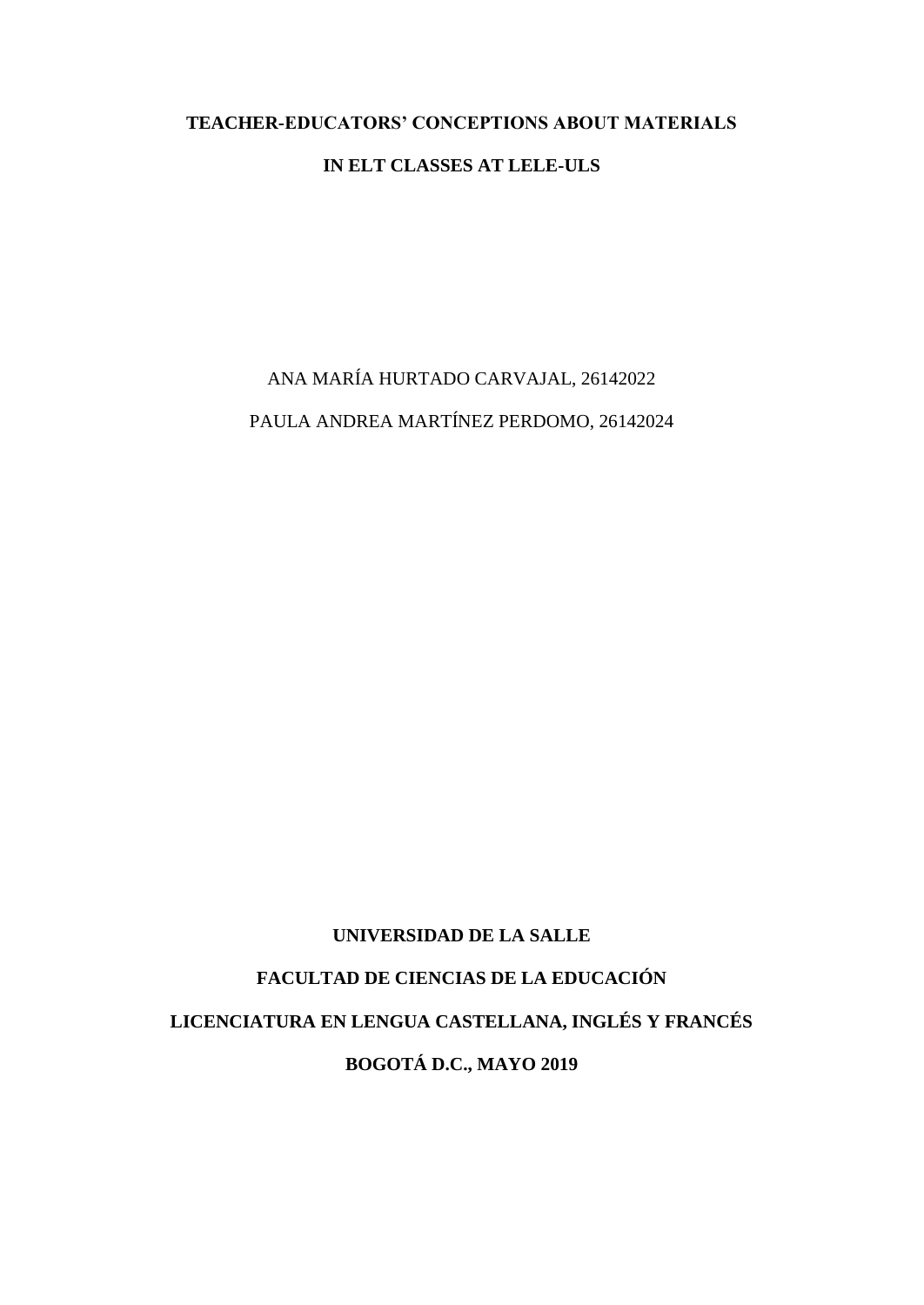### **TEACHER-EDUCATORS' CONCEPTIONS ABOUT MATERIALS**

#### **IN ELT CLASSES AT LELE-ULS**

ANA MARÍA HURTADO CARVAJAL, 26142022 PAULA ANDREA MARTÍNEZ PERDOMO, 26142024

#### **UNIVERSIDAD DE LA SALLE**

**FACULTAD DE CIENCIAS DE LA EDUCACIÓN LICENCIATURA EN LENGUA CASTELLANA, INGLÉS Y FRANCÉS BOGOTÁ D.C., MAYO 2019**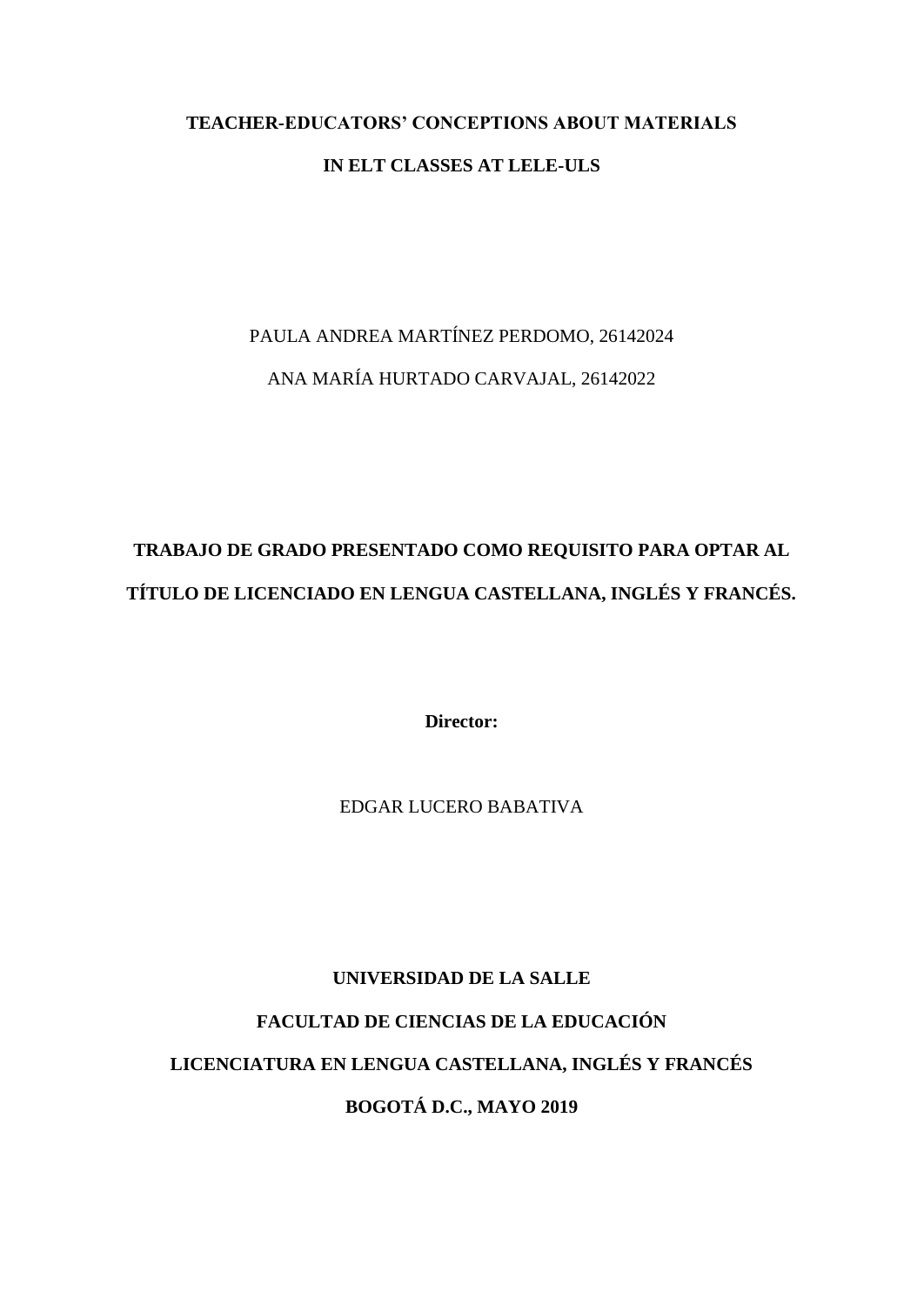# **TEACHER-EDUCATORS' CONCEPTIONS ABOUT MATERIALS**

### **IN ELT CLASSES AT LELE-ULS**

# PAULA ANDREA MARTÍNEZ PERDOMO, 26142024 ANA MARÍA HURTADO CARVAJAL, 26142022

# **TRABAJO DE GRADO PRESENTADO COMO REQUISITO PARA OPTAR AL TÍTULO DE LICENCIADO EN LENGUA CASTELLANA, INGLÉS Y FRANCÉS.**

**Director:**

EDGAR LUCERO BABATIVA

# **UNIVERSIDAD DE LA SALLE FACULTAD DE CIENCIAS DE LA EDUCACIÓN**

# **LICENCIATURA EN LENGUA CASTELLANA, INGLÉS Y FRANCÉS**

**BOGOTÁ D.C., MAYO 2019**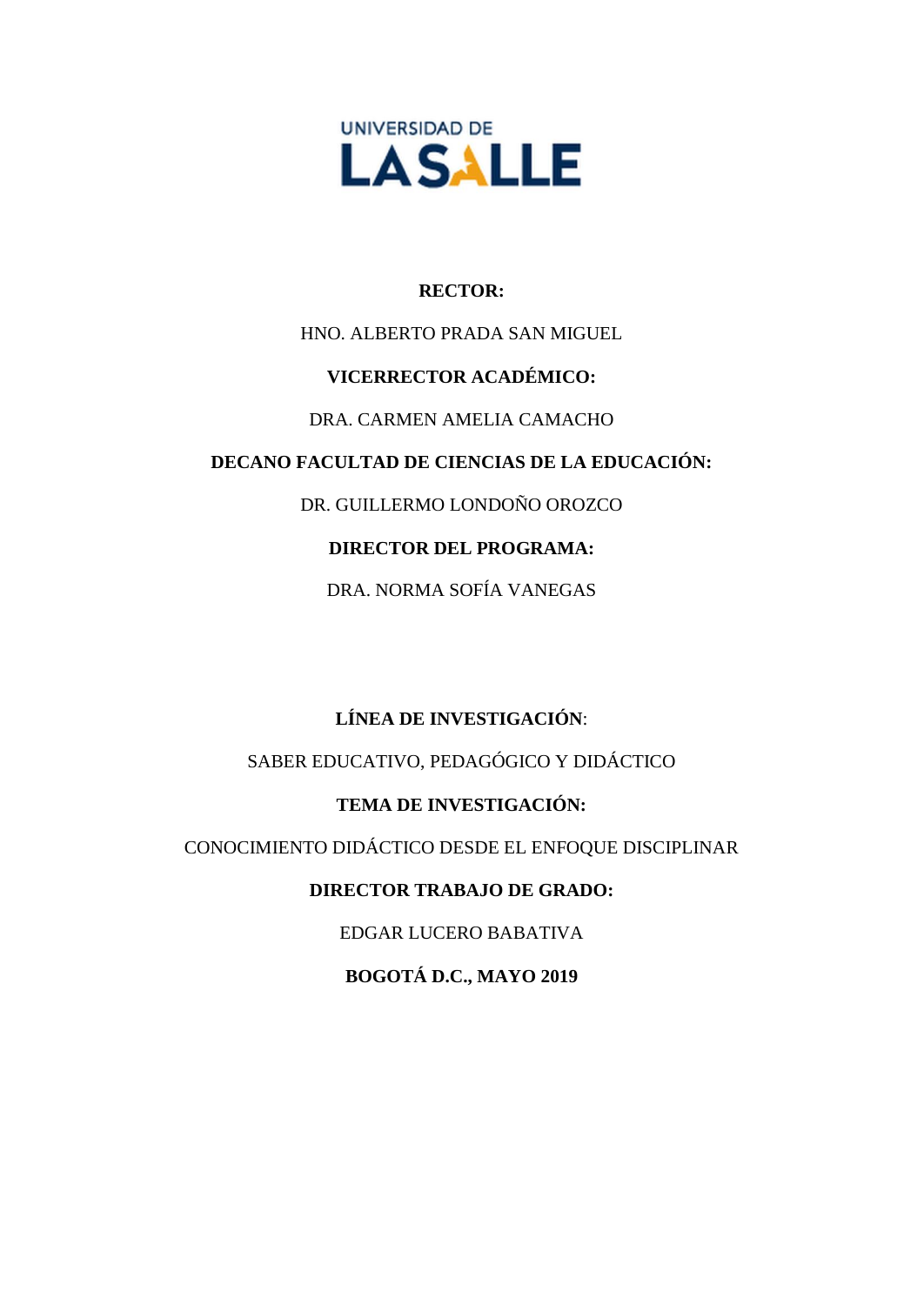

## **RECTOR:**

# HNO. ALBERTO PRADA SAN MIGUEL

## **VICERRECTOR ACADÉMICO:**

# DRA. CARMEN AMELIA CAMACHO

## **DECANO FACULTAD DE CIENCIAS DE LA EDUCACIÓN:**

DR. GUILLERMO LONDOÑO OROZCO

# **DIRECTOR DEL PROGRAMA:**

DRA. NORMA SOFÍA VANEGAS

# **LÍNEA DE INVESTIGACIÓN**:

SABER EDUCATIVO, PEDAGÓGICO Y DIDÁCTICO

# **TEMA DE INVESTIGACIÓN:**

CONOCIMIENTO DIDÁCTICO DESDE EL ENFOQUE DISCIPLINAR

# **DIRECTOR TRABAJO DE GRADO:**

EDGAR LUCERO BABATIVA

**BOGOTÁ D.C., MAYO 2019**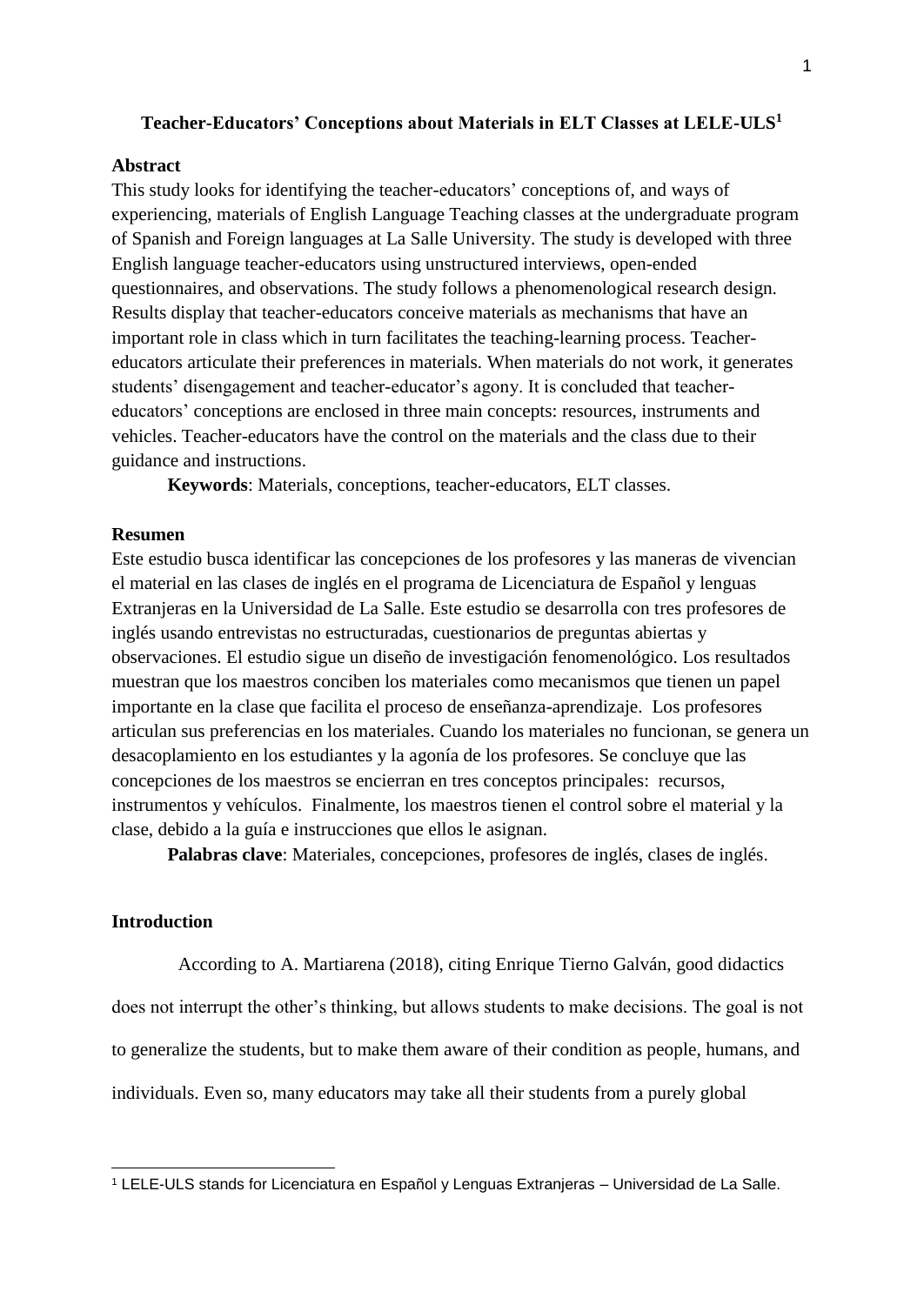#### **Teacher-Educators' Conceptions about Materials in ELT Classes at LELE-ULS<sup>1</sup>**

#### **Abstract**

This study looks for identifying the teacher-educators' conceptions of, and ways of experiencing, materials of English Language Teaching classes at the undergraduate program of Spanish and Foreign languages at La Salle University. The study is developed with three English language teacher-educators using unstructured interviews, open-ended questionnaires, and observations. The study follows a phenomenological research design. Results display that teacher-educators conceive materials as mechanisms that have an important role in class which in turn facilitates the teaching-learning process. Teachereducators articulate their preferences in materials. When materials do not work, it generates students' disengagement and teacher-educator's agony. It is concluded that teachereducators' conceptions are enclosed in three main concepts: resources, instruments and vehicles. Teacher-educators have the control on the materials and the class due to their guidance and instructions.

**Keywords**: Materials, conceptions, teacher-educators, ELT classes.

#### **Resumen**

Este estudio busca identificar las concepciones de los profesores y las maneras de vivencian el material en las clases de inglés en el programa de Licenciatura de Español y lenguas Extranjeras en la Universidad de La Salle. Este estudio se desarrolla con tres profesores de inglés usando entrevistas no estructuradas, cuestionarios de preguntas abiertas y observaciones. El estudio sigue un diseño de investigación fenomenológico. Los resultados muestran que los maestros conciben los materiales como mecanismos que tienen un papel importante en la clase que facilita el proceso de enseñanza-aprendizaje. Los profesores articulan sus preferencias en los materiales. Cuando los materiales no funcionan, se genera un desacoplamiento en los estudiantes y la agonía de los profesores. Se concluye que las concepciones de los maestros se encierran en tres conceptos principales: recursos, instrumentos y vehículos. Finalmente, los maestros tienen el control sobre el material y la clase, debido a la guía e instrucciones que ellos le asignan.

**Palabras clave**: Materiales, concepciones, profesores de inglés, clases de inglés.

#### **Introduction**

-

According to A. Martiarena (2018), citing Enrique Tierno Galván, good didactics does not interrupt the other's thinking, but allows students to make decisions. The goal is not to generalize the students, but to make them aware of their condition as people, humans, and individuals. Even so, many educators may take all their students from a purely global

<sup>1</sup> LELE-ULS stands for Licenciatura en Español y Lenguas Extranjeras – Universidad de La Salle.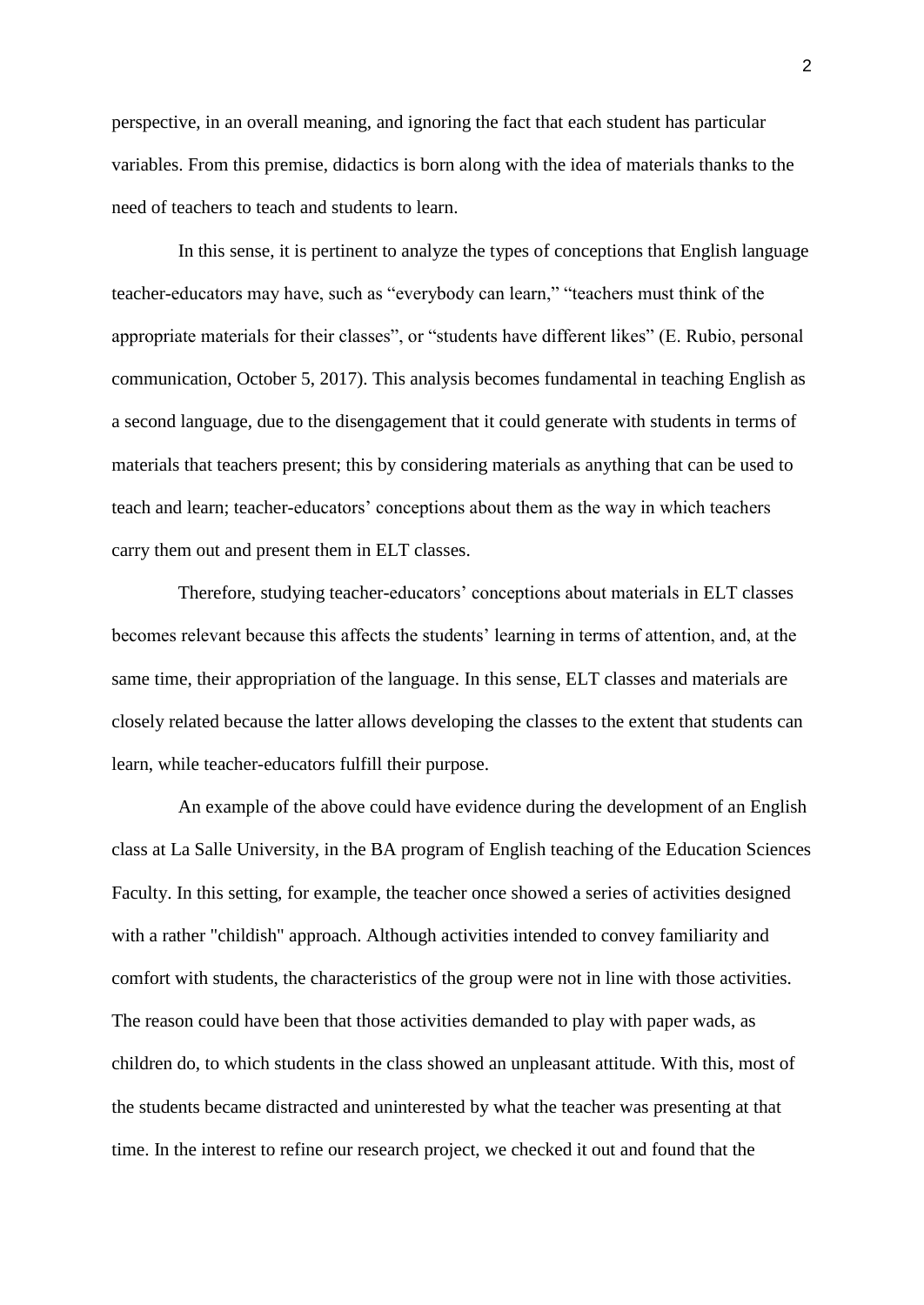perspective, in an overall meaning, and ignoring the fact that each student has particular variables. From this premise, didactics is born along with the idea of materials thanks to the need of teachers to teach and students to learn.

In this sense, it is pertinent to analyze the types of conceptions that English language teacher-educators may have, such as "everybody can learn," "teachers must think of the appropriate materials for their classes", or "students have different likes" (E. Rubio, personal communication, October 5, 2017). This analysis becomes fundamental in teaching English as a second language, due to the disengagement that it could generate with students in terms of materials that teachers present; this by considering materials as anything that can be used to teach and learn; teacher-educators' conceptions about them as the way in which teachers carry them out and present them in ELT classes.

Therefore, studying teacher-educators' conceptions about materials in ELT classes becomes relevant because this affects the students' learning in terms of attention, and, at the same time, their appropriation of the language. In this sense, ELT classes and materials are closely related because the latter allows developing the classes to the extent that students can learn, while teacher-educators fulfill their purpose.

An example of the above could have evidence during the development of an English class at La Salle University, in the BA program of English teaching of the Education Sciences Faculty. In this setting, for example, the teacher once showed a series of activities designed with a rather "childish" approach. Although activities intended to convey familiarity and comfort with students, the characteristics of the group were not in line with those activities. The reason could have been that those activities demanded to play with paper wads, as children do, to which students in the class showed an unpleasant attitude. With this, most of the students became distracted and uninterested by what the teacher was presenting at that time. In the interest to refine our research project, we checked it out and found that the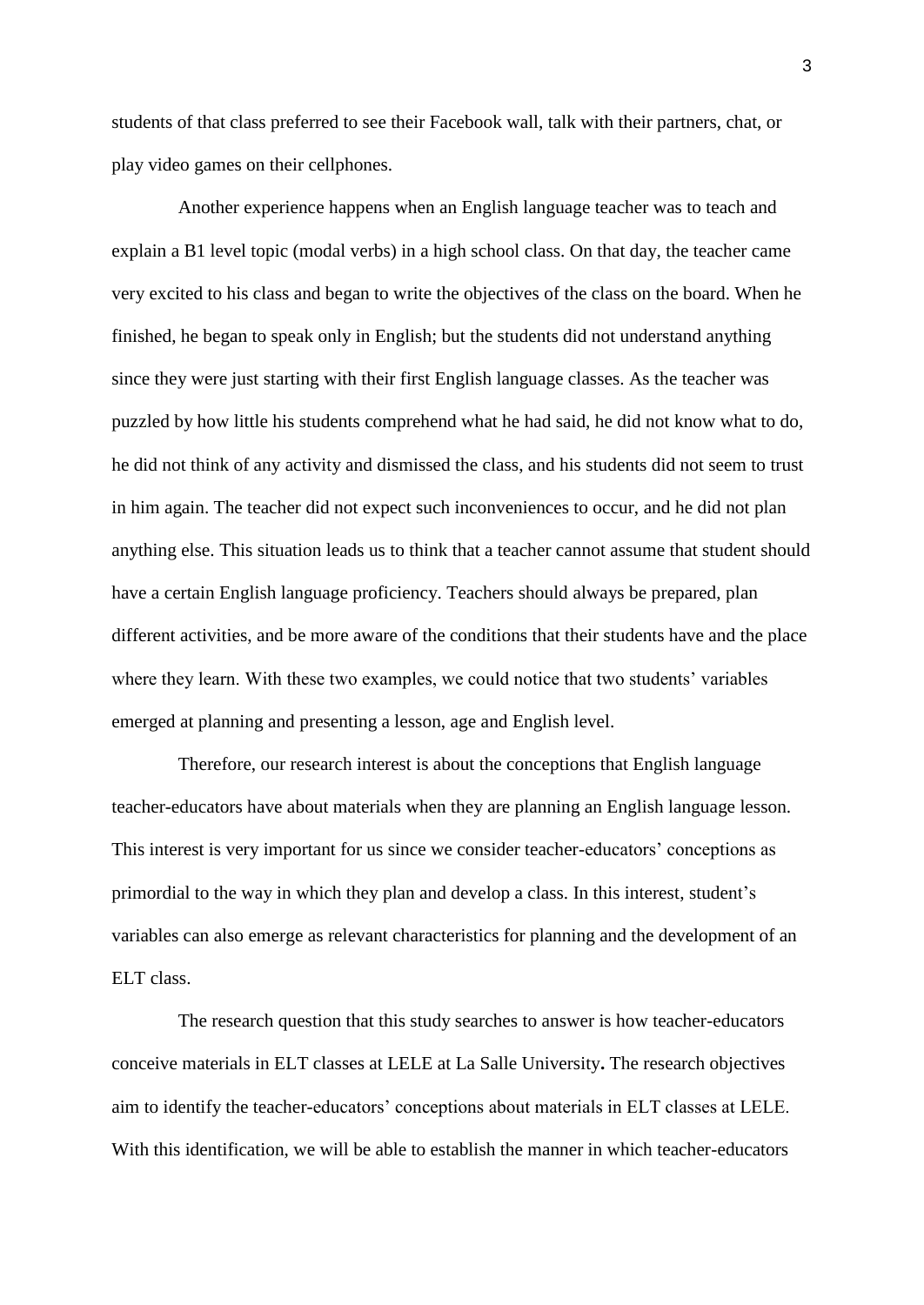students of that class preferred to see their Facebook wall, talk with their partners, chat, or play video games on their cellphones.

Another experience happens when an English language teacher was to teach and explain a B1 level topic (modal verbs) in a high school class. On that day, the teacher came very excited to his class and began to write the objectives of the class on the board. When he finished, he began to speak only in English; but the students did not understand anything since they were just starting with their first English language classes. As the teacher was puzzled by how little his students comprehend what he had said, he did not know what to do, he did not think of any activity and dismissed the class, and his students did not seem to trust in him again. The teacher did not expect such inconveniences to occur, and he did not plan anything else. This situation leads us to think that a teacher cannot assume that student should have a certain English language proficiency. Teachers should always be prepared, plan different activities, and be more aware of the conditions that their students have and the place where they learn. With these two examples, we could notice that two students' variables emerged at planning and presenting a lesson, age and English level.

Therefore, our research interest is about the conceptions that English language teacher-educators have about materials when they are planning an English language lesson. This interest is very important for us since we consider teacher-educators' conceptions as primordial to the way in which they plan and develop a class. In this interest, student's variables can also emerge as relevant characteristics for planning and the development of an ELT class.

The research question that this study searches to answer is how teacher-educators conceive materials in ELT classes at LELE at La Salle University**.** The research objectives aim to identify the teacher-educators' conceptions about materials in ELT classes at LELE. With this identification, we will be able to establish the manner in which teacher-educators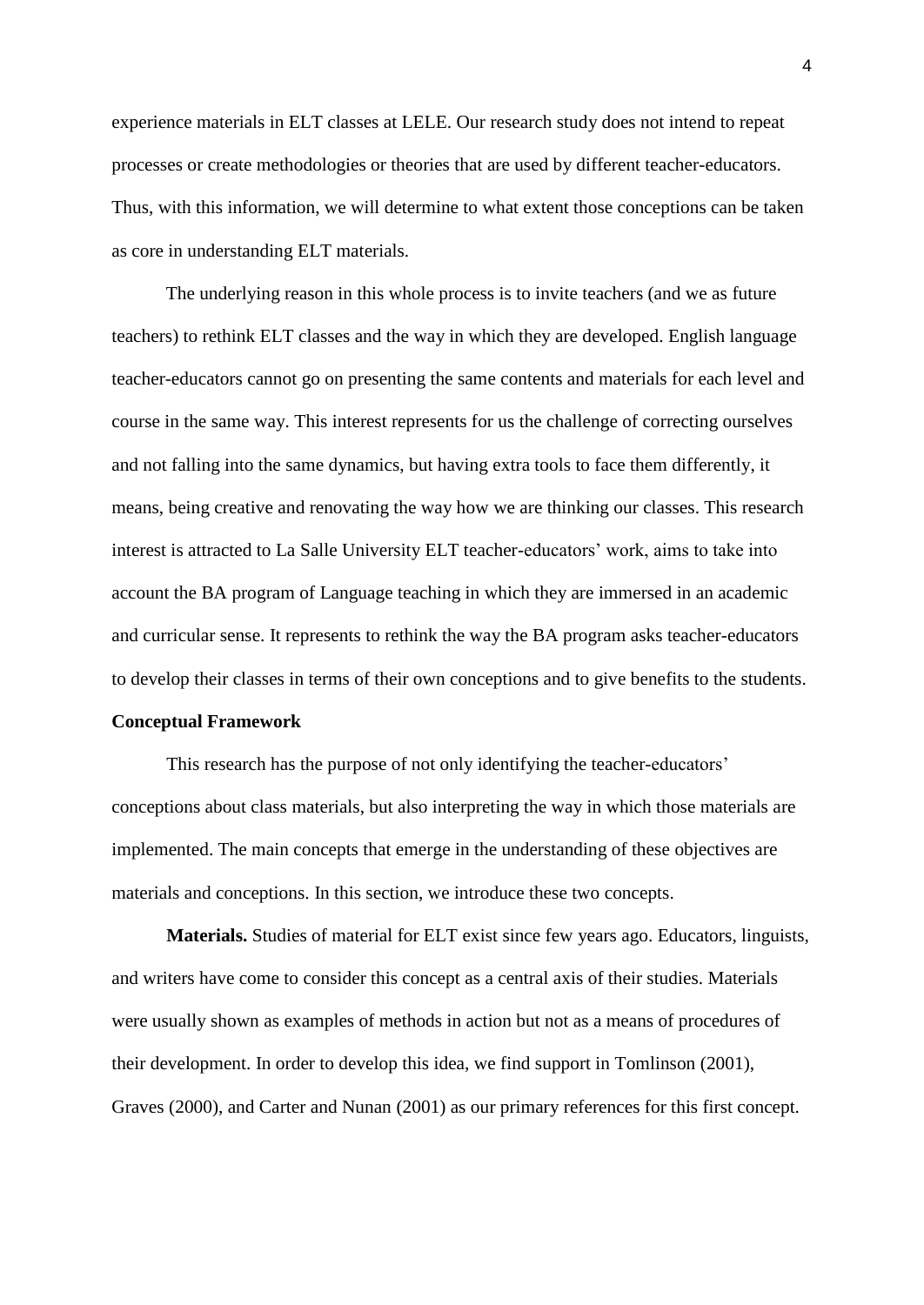experience materials in ELT classes at LELE. Our research study does not intend to repeat processes or create methodologies or theories that are used by different teacher-educators. Thus, with this information, we will determine to what extent those conceptions can be taken as core in understanding ELT materials.

The underlying reason in this whole process is to invite teachers (and we as future teachers) to rethink ELT classes and the way in which they are developed. English language teacher-educators cannot go on presenting the same contents and materials for each level and course in the same way. This interest represents for us the challenge of correcting ourselves and not falling into the same dynamics, but having extra tools to face them differently, it means, being creative and renovating the way how we are thinking our classes. This research interest is attracted to La Salle University ELT teacher-educators' work, aims to take into account the BA program of Language teaching in which they are immersed in an academic and curricular sense. It represents to rethink the way the BA program asks teacher-educators to develop their classes in terms of their own conceptions and to give benefits to the students.

#### **Conceptual Framework**

This research has the purpose of not only identifying the teacher-educators' conceptions about class materials, but also interpreting the way in which those materials are implemented. The main concepts that emerge in the understanding of these objectives are materials and conceptions. In this section, we introduce these two concepts.

**Materials.** Studies of material for ELT exist since few years ago. Educators, linguists, and writers have come to consider this concept as a central axis of their studies. Materials were usually shown as examples of methods in action but not as a means of procedures of their development. In order to develop this idea, we find support in Tomlinson (2001), Graves (2000), and Carter and Nunan (2001) as our primary references for this first concept.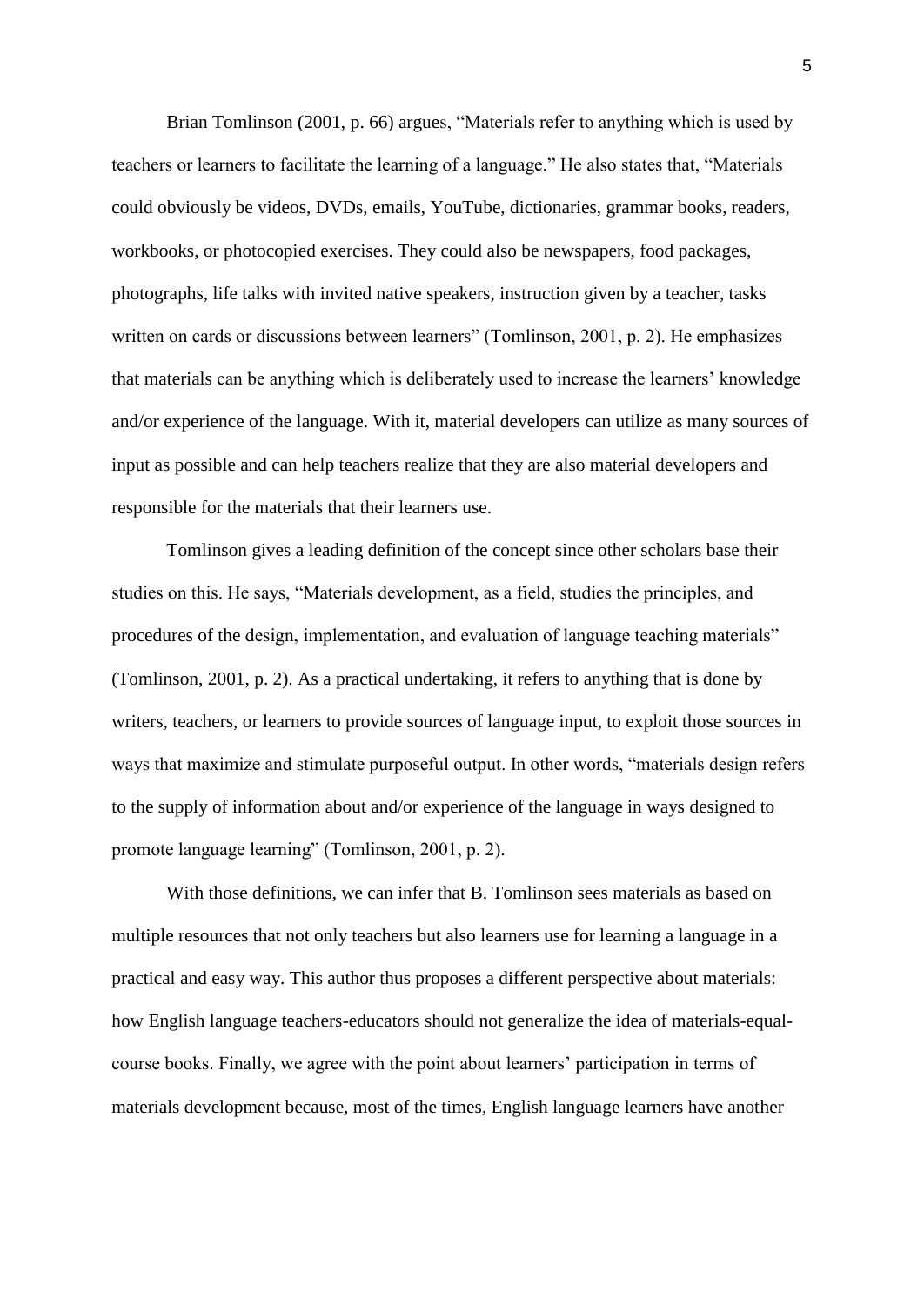Brian Tomlinson (2001, p. 66) argues, "Materials refer to anything which is used by teachers or learners to facilitate the learning of a language." He also states that, "Materials could obviously be videos, DVDs, emails, YouTube, dictionaries, grammar books, readers, workbooks, or photocopied exercises. They could also be newspapers, food packages, photographs, life talks with invited native speakers, instruction given by a teacher, tasks written on cards or discussions between learners" (Tomlinson, 2001, p. 2). He emphasizes that materials can be anything which is deliberately used to increase the learners' knowledge and/or experience of the language. With it, material developers can utilize as many sources of input as possible and can help teachers realize that they are also material developers and responsible for the materials that their learners use.

Tomlinson gives a leading definition of the concept since other scholars base their studies on this. He says, "Materials development, as a field, studies the principles, and procedures of the design, implementation, and evaluation of language teaching materials" (Tomlinson, 2001, p. 2). As a practical undertaking, it refers to anything that is done by writers, teachers, or learners to provide sources of language input, to exploit those sources in ways that maximize and stimulate purposeful output. In other words, "materials design refers to the supply of information about and/or experience of the language in ways designed to promote language learning" (Tomlinson, 2001, p. 2).

With those definitions, we can infer that B. Tomlinson sees materials as based on multiple resources that not only teachers but also learners use for learning a language in a practical and easy way. This author thus proposes a different perspective about materials: how English language teachers-educators should not generalize the idea of materials-equalcourse books. Finally, we agree with the point about learners' participation in terms of materials development because, most of the times, English language learners have another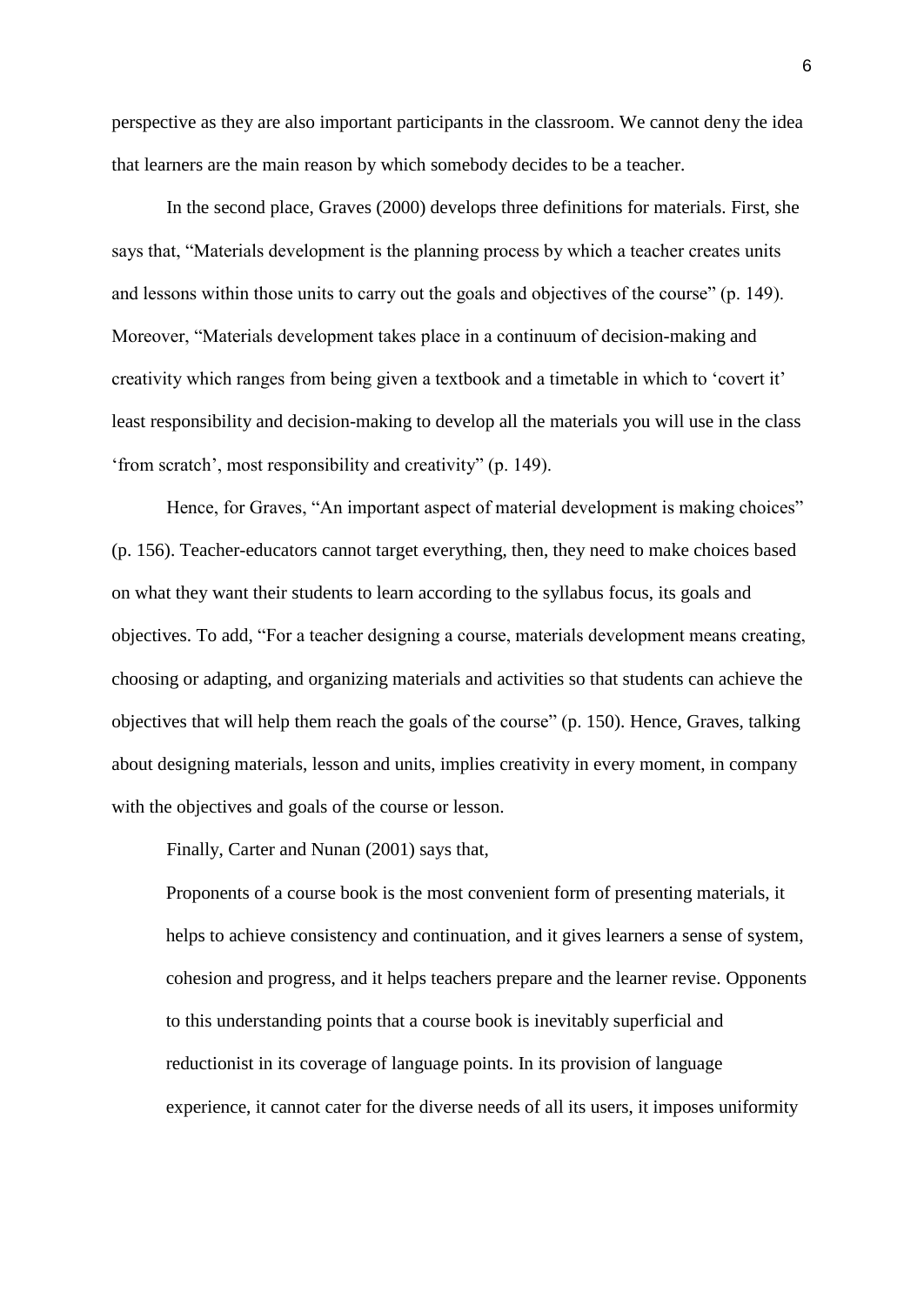perspective as they are also important participants in the classroom. We cannot deny the idea that learners are the main reason by which somebody decides to be a teacher.

In the second place, Graves (2000) develops three definitions for materials. First, she says that, "Materials development is the planning process by which a teacher creates units and lessons within those units to carry out the goals and objectives of the course" (p. 149). Moreover, "Materials development takes place in a continuum of decision-making and creativity which ranges from being given a textbook and a timetable in which to 'covert it' least responsibility and decision-making to develop all the materials you will use in the class 'from scratch', most responsibility and creativity" (p. 149).

Hence, for Graves, "An important aspect of material development is making choices" (p. 156). Teacher-educators cannot target everything, then, they need to make choices based on what they want their students to learn according to the syllabus focus, its goals and objectives. To add, "For a teacher designing a course, materials development means creating, choosing or adapting, and organizing materials and activities so that students can achieve the objectives that will help them reach the goals of the course" (p. 150). Hence, Graves, talking about designing materials, lesson and units, implies creativity in every moment, in company with the objectives and goals of the course or lesson.

Finally, Carter and Nunan (2001) says that,

Proponents of a course book is the most convenient form of presenting materials, it helps to achieve consistency and continuation, and it gives learners a sense of system, cohesion and progress, and it helps teachers prepare and the learner revise. Opponents to this understanding points that a course book is inevitably superficial and reductionist in its coverage of language points. In its provision of language experience, it cannot cater for the diverse needs of all its users, it imposes uniformity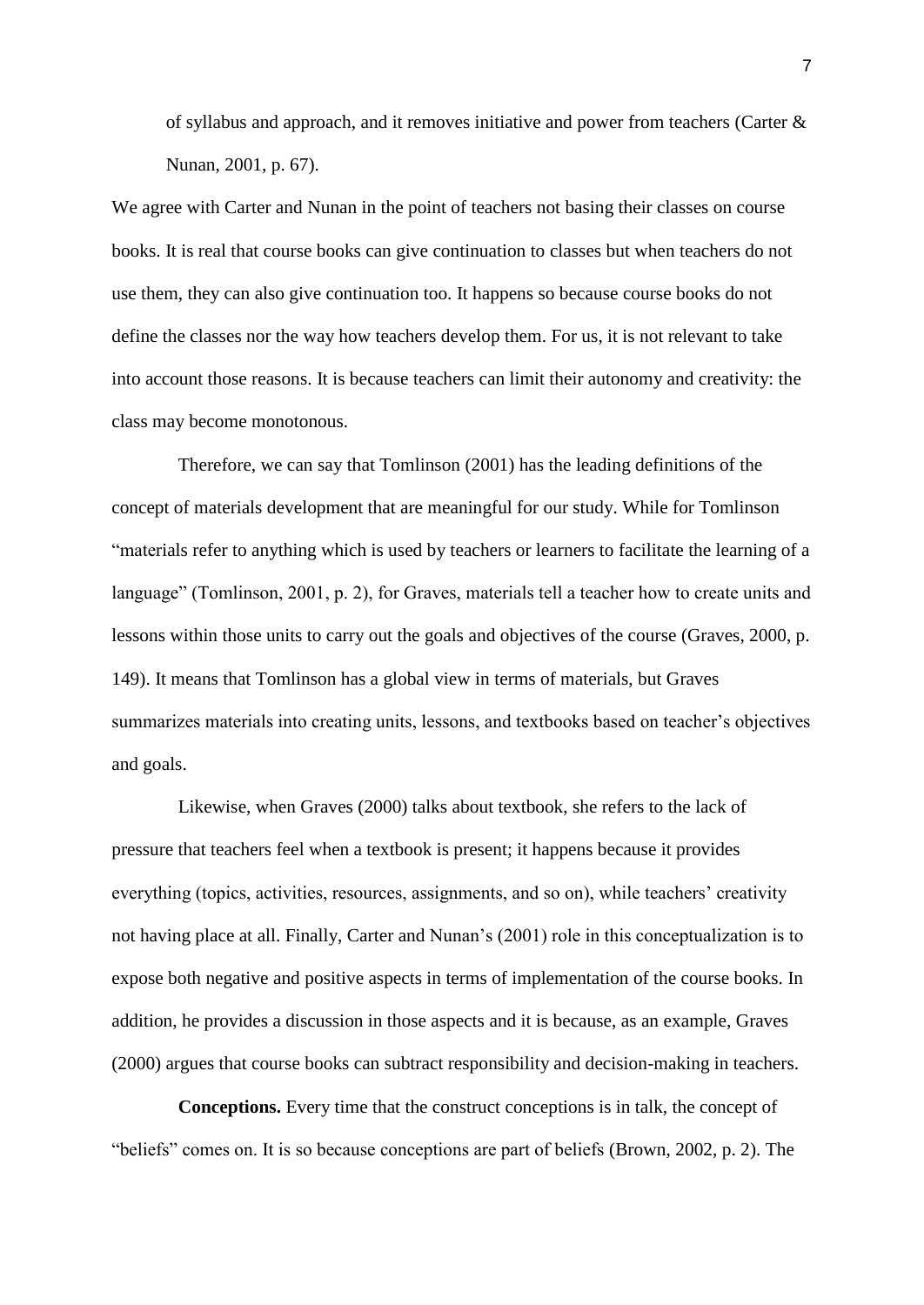of syllabus and approach, and it removes initiative and power from teachers (Carter & Nunan, 2001, p. 67).

We agree with Carter and Nunan in the point of teachers not basing their classes on course books. It is real that course books can give continuation to classes but when teachers do not use them, they can also give continuation too. It happens so because course books do not define the classes nor the way how teachers develop them. For us, it is not relevant to take into account those reasons. It is because teachers can limit their autonomy and creativity: the class may become monotonous.

Therefore, we can say that Tomlinson (2001) has the leading definitions of the concept of materials development that are meaningful for our study. While for Tomlinson "materials refer to anything which is used by teachers or learners to facilitate the learning of a language" (Tomlinson, 2001, p. 2), for Graves, materials tell a teacher how to create units and lessons within those units to carry out the goals and objectives of the course (Graves, 2000, p. 149). It means that Tomlinson has a global view in terms of materials, but Graves summarizes materials into creating units, lessons, and textbooks based on teacher's objectives and goals.

Likewise, when Graves (2000) talks about textbook, she refers to the lack of pressure that teachers feel when a textbook is present; it happens because it provides everything (topics, activities, resources, assignments, and so on), while teachers' creativity not having place at all. Finally, Carter and Nunan's (2001) role in this conceptualization is to expose both negative and positive aspects in terms of implementation of the course books. In addition, he provides a discussion in those aspects and it is because, as an example, Graves (2000) argues that course books can subtract responsibility and decision-making in teachers.

**Conceptions.** Every time that the construct conceptions is in talk, the concept of "beliefs" comes on. It is so because conceptions are part of beliefs (Brown, 2002, p. 2). The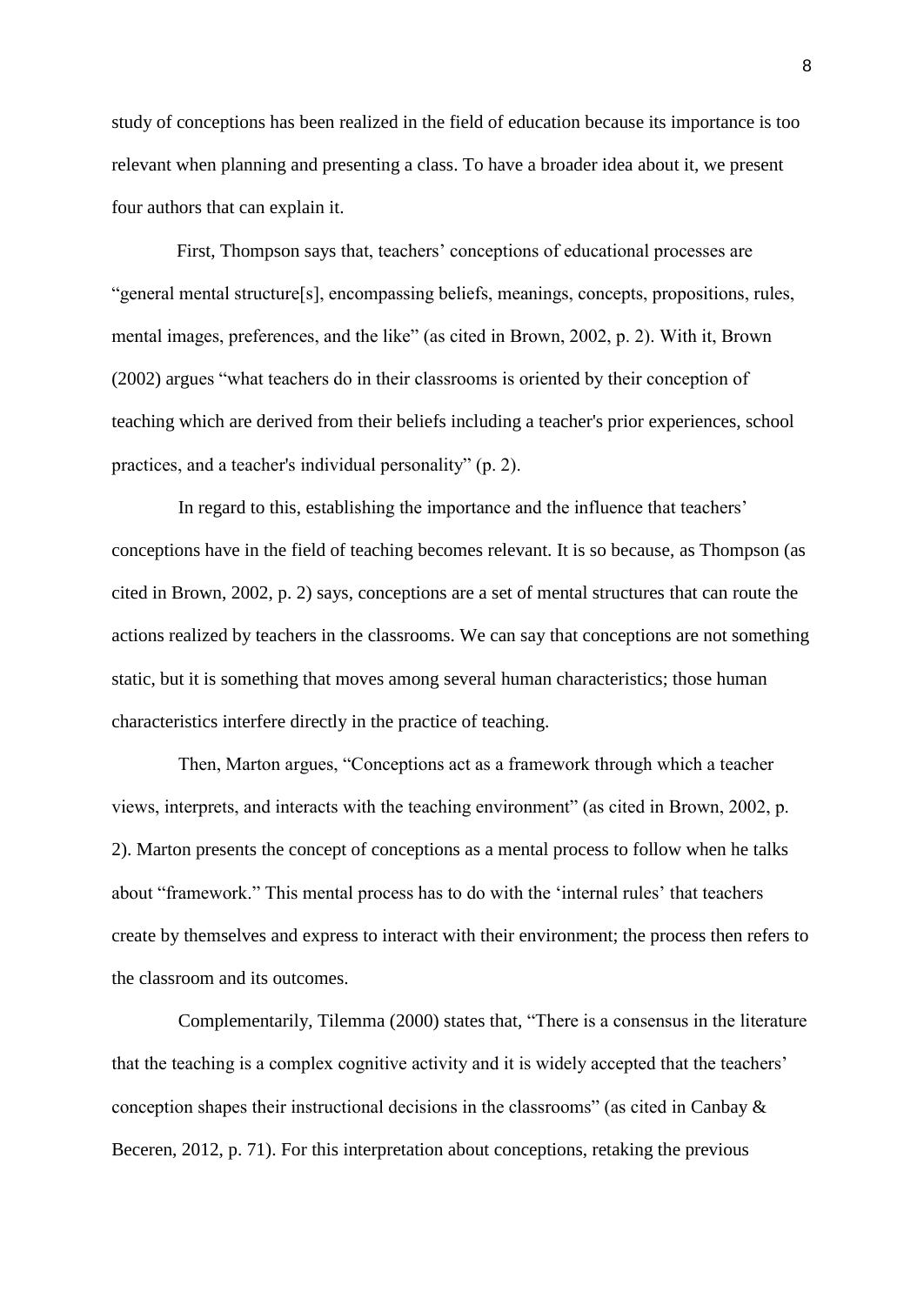study of conceptions has been realized in the field of education because its importance is too relevant when planning and presenting a class. To have a broader idea about it, we present four authors that can explain it.

 First, Thompson says that, teachers' conceptions of educational processes are "general mental structure[s], encompassing beliefs, meanings, concepts, propositions, rules, mental images, preferences, and the like" (as cited in Brown, 2002, p. 2). With it, Brown (2002) argues "what teachers do in their classrooms is oriented by their conception of teaching which are derived from their beliefs including a teacher's prior experiences, school practices, and a teacher's individual personality" (p. 2).

In regard to this, establishing the importance and the influence that teachers' conceptions have in the field of teaching becomes relevant. It is so because, as Thompson (as cited in Brown, 2002, p. 2) says, conceptions are a set of mental structures that can route the actions realized by teachers in the classrooms. We can say that conceptions are not something static, but it is something that moves among several human characteristics; those human characteristics interfere directly in the practice of teaching.

Then, Marton argues, "Conceptions act as a framework through which a teacher views, interprets, and interacts with the teaching environment" (as cited in Brown, 2002, p. 2). Marton presents the concept of conceptions as a mental process to follow when he talks about "framework." This mental process has to do with the 'internal rules' that teachers create by themselves and express to interact with their environment; the process then refers to the classroom and its outcomes.

Complementarily, Tilemma (2000) states that, "There is a consensus in the literature that the teaching is a complex cognitive activity and it is widely accepted that the teachers' conception shapes their instructional decisions in the classrooms" (as cited in Canbay & Beceren, 2012, p. 71). For this interpretation about conceptions, retaking the previous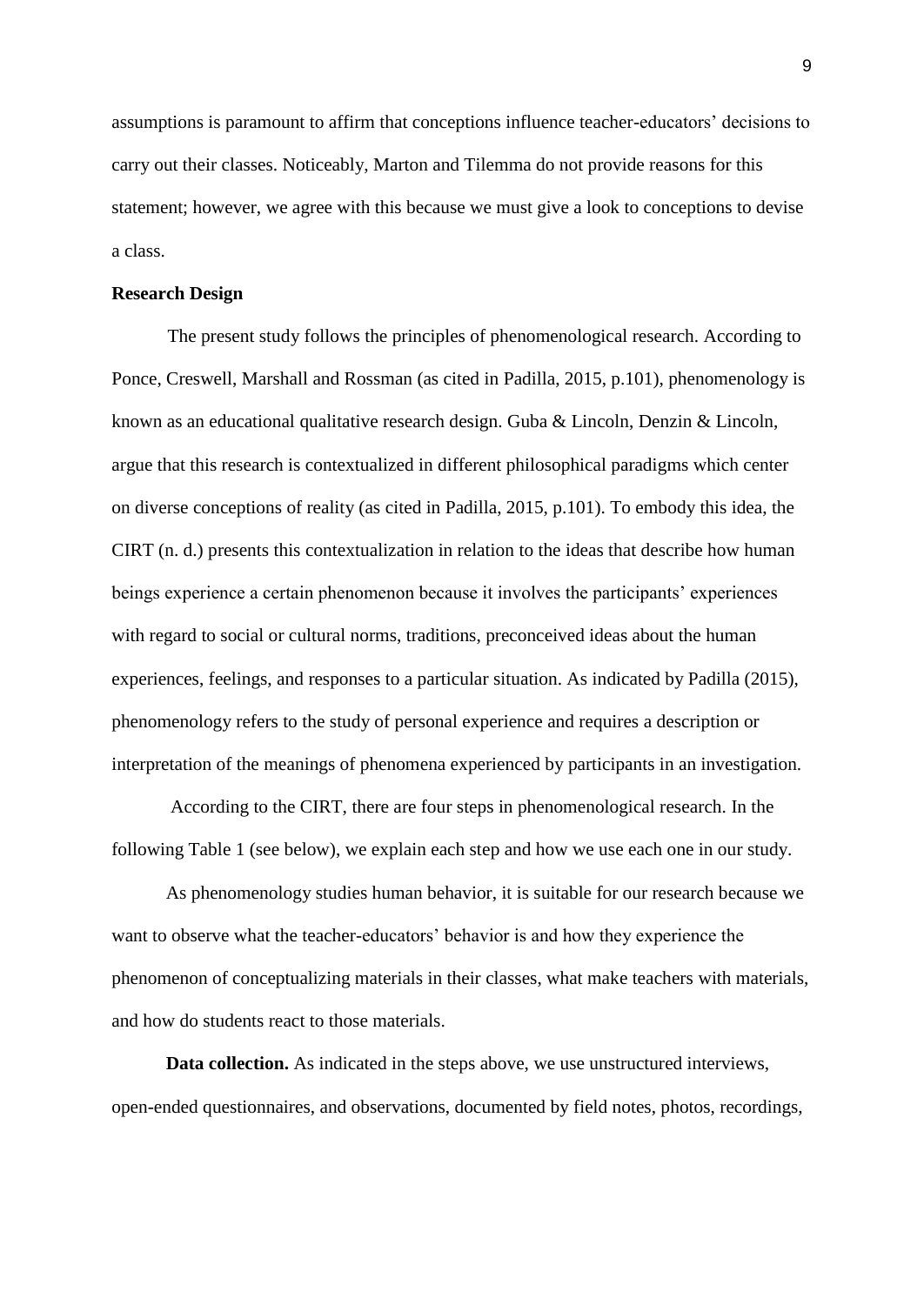assumptions is paramount to affirm that conceptions influence teacher-educators' decisions to carry out their classes. Noticeably, Marton and Tilemma do not provide reasons for this statement; however, we agree with this because we must give a look to conceptions to devise a class.

#### **Research Design**

 The present study follows the principles of phenomenological research. According to Ponce, Creswell, Marshall and Rossman (as cited in Padilla, 2015, p.101), phenomenology is known as an educational qualitative research design. Guba & Lincoln, Denzin & Lincoln, argue that this research is contextualized in different philosophical paradigms which center on diverse conceptions of reality (as cited in Padilla, 2015, p.101). To embody this idea, the CIRT (n. d.) presents this contextualization in relation to the ideas that describe how human beings experience a certain phenomenon because it involves the participants' experiences with regard to social or cultural norms, traditions, preconceived ideas about the human experiences, feelings, and responses to a particular situation. As indicated by Padilla (2015), phenomenology refers to the study of personal experience and requires a description or interpretation of the meanings of phenomena experienced by participants in an investigation.

According to the CIRT, there are four steps in phenomenological research. In the following Table 1 (see below), we explain each step and how we use each one in our study.

As phenomenology studies human behavior, it is suitable for our research because we want to observe what the teacher-educators' behavior is and how they experience the phenomenon of conceptualizing materials in their classes, what make teachers with materials, and how do students react to those materials.

**Data collection.** As indicated in the steps above, we use unstructured interviews, open-ended questionnaires, and observations, documented by field notes, photos, recordings,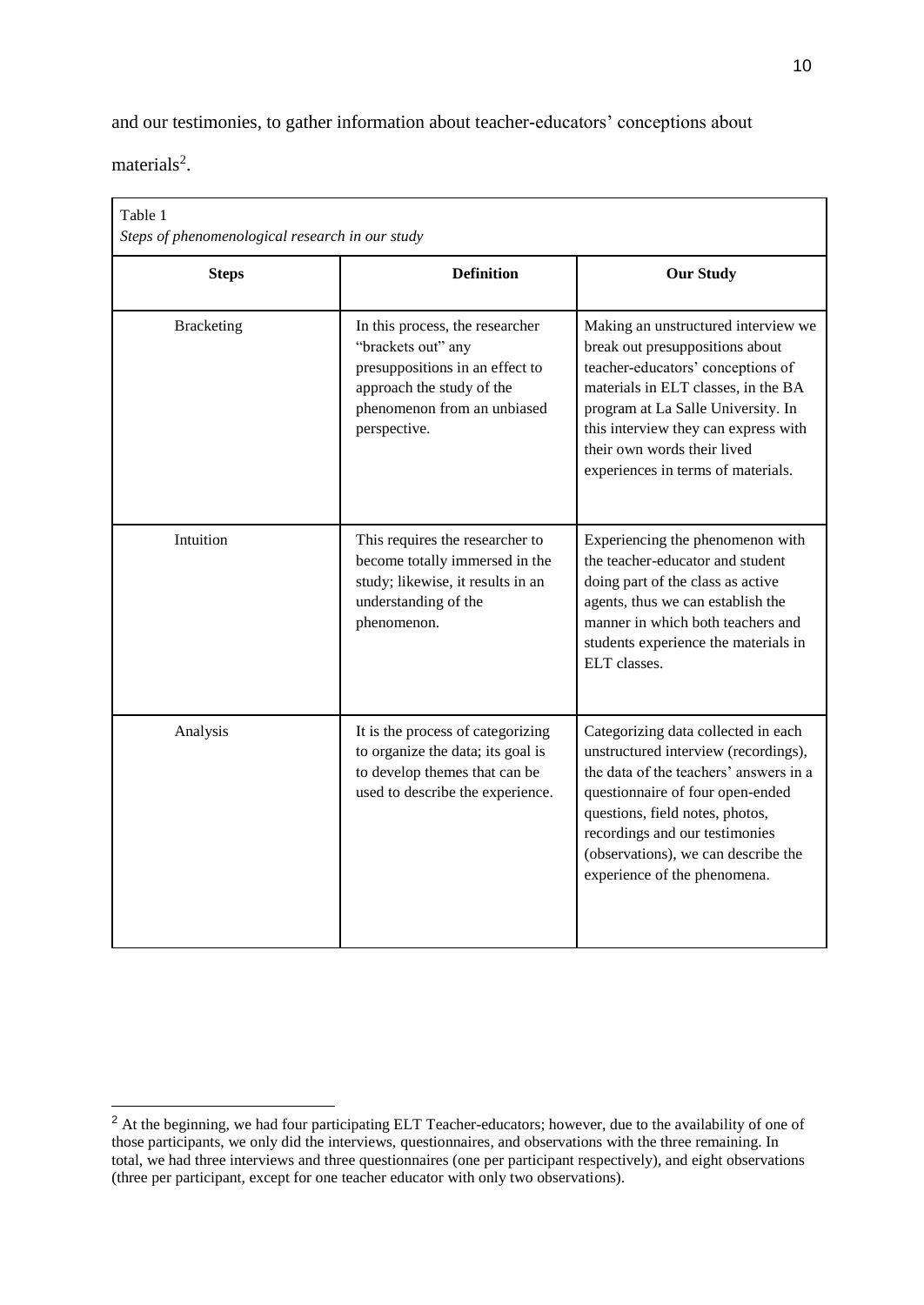and our testimonies, to gather information about teacher-educators' conceptions about

materials<sup>2</sup>.

-

| Table 1<br>Steps of phenomenological research in our study |                                                                                                                                                                      |                                                                                                                                                                                                                                                                                                       |  |
|------------------------------------------------------------|----------------------------------------------------------------------------------------------------------------------------------------------------------------------|-------------------------------------------------------------------------------------------------------------------------------------------------------------------------------------------------------------------------------------------------------------------------------------------------------|--|
| <b>Steps</b>                                               | <b>Definition</b>                                                                                                                                                    | <b>Our Study</b>                                                                                                                                                                                                                                                                                      |  |
| <b>Bracketing</b>                                          | In this process, the researcher<br>"brackets out" any<br>presuppositions in an effect to<br>approach the study of the<br>phenomenon from an unbiased<br>perspective. | Making an unstructured interview we<br>break out presuppositions about<br>teacher-educators' conceptions of<br>materials in ELT classes, in the BA<br>program at La Salle University. In<br>this interview they can express with<br>their own words their lived<br>experiences in terms of materials. |  |
| Intuition                                                  | This requires the researcher to<br>become totally immersed in the<br>study; likewise, it results in an<br>understanding of the<br>phenomenon.                        | Experiencing the phenomenon with<br>the teacher-educator and student<br>doing part of the class as active<br>agents, thus we can establish the<br>manner in which both teachers and<br>students experience the materials in<br>ELT classes.                                                           |  |
| Analysis                                                   | It is the process of categorizing<br>to organize the data; its goal is<br>to develop themes that can be<br>used to describe the experience.                          | Categorizing data collected in each<br>unstructured interview (recordings),<br>the data of the teachers' answers in a<br>questionnaire of four open-ended<br>questions, field notes, photos,<br>recordings and our testimonies<br>(observations), we can describe the<br>experience of the phenomena. |  |

<sup>&</sup>lt;sup>2</sup> At the beginning, we had four participating ELT Teacher-educators; however, due to the availability of one of those participants, we only did the interviews, questionnaires, and observations with the three remaining. In total, we had three interviews and three questionnaires (one per participant respectively), and eight observations (three per participant, except for one teacher educator with only two observations).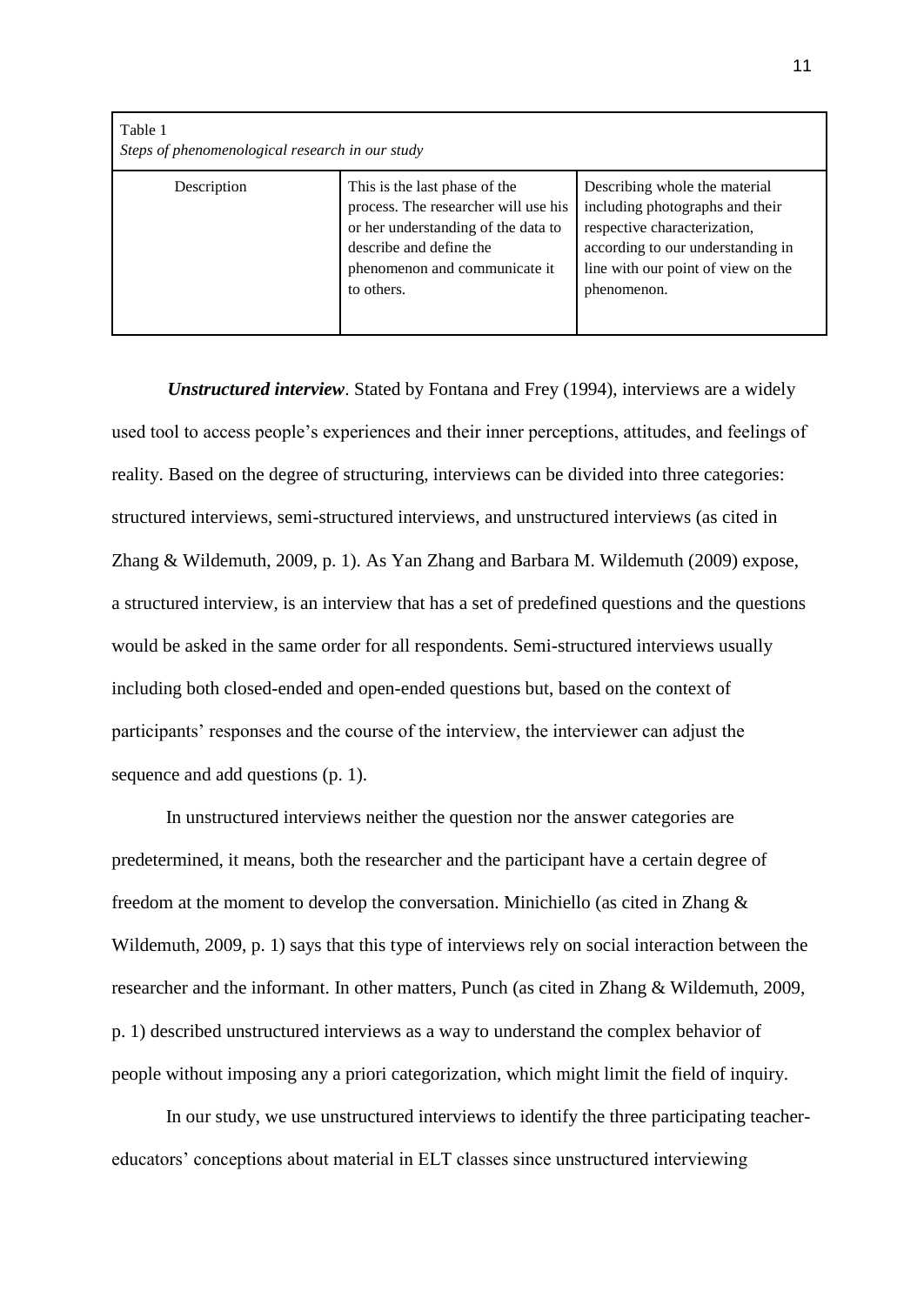| Table 1<br>Steps of phenomenological research in our study |                                                                                                                                                                                        |                                                                                                                                                                                            |  |
|------------------------------------------------------------|----------------------------------------------------------------------------------------------------------------------------------------------------------------------------------------|--------------------------------------------------------------------------------------------------------------------------------------------------------------------------------------------|--|
| Description                                                | This is the last phase of the<br>process. The researcher will use his<br>or her understanding of the data to<br>describe and define the<br>phenomenon and communicate it<br>to others. | Describing whole the material<br>including photographs and their<br>respective characterization,<br>according to our understanding in<br>line with our point of view on the<br>phenomenon. |  |

 *Unstructured interview*. Stated by Fontana and Frey (1994), interviews are a widely used tool to access people's experiences and their inner perceptions, attitudes, and feelings of reality. Based on the degree of structuring, interviews can be divided into three categories: structured interviews, semi-structured interviews, and unstructured interviews (as cited in Zhang & Wildemuth, 2009, p. 1). As Yan Zhang and Barbara M. Wildemuth (2009) expose, a structured interview, is an interview that has a set of predefined questions and the questions would be asked in the same order for all respondents. Semi-structured interviews usually including both closed-ended and open-ended questions but, based on the context of participants' responses and the course of the interview, the interviewer can adjust the sequence and add questions (p. 1).

In unstructured interviews neither the question nor the answer categories are predetermined, it means, both the researcher and the participant have a certain degree of freedom at the moment to develop the conversation. Minichiello (as cited in Zhang & Wildemuth, 2009, p. 1) says that this type of interviews rely on social interaction between the researcher and the informant. In other matters, Punch (as cited in Zhang & Wildemuth, 2009, p. 1) described unstructured interviews as a way to understand the complex behavior of people without imposing any a priori categorization, which might limit the field of inquiry.

In our study, we use unstructured interviews to identify the three participating teachereducators' conceptions about material in ELT classes since unstructured interviewing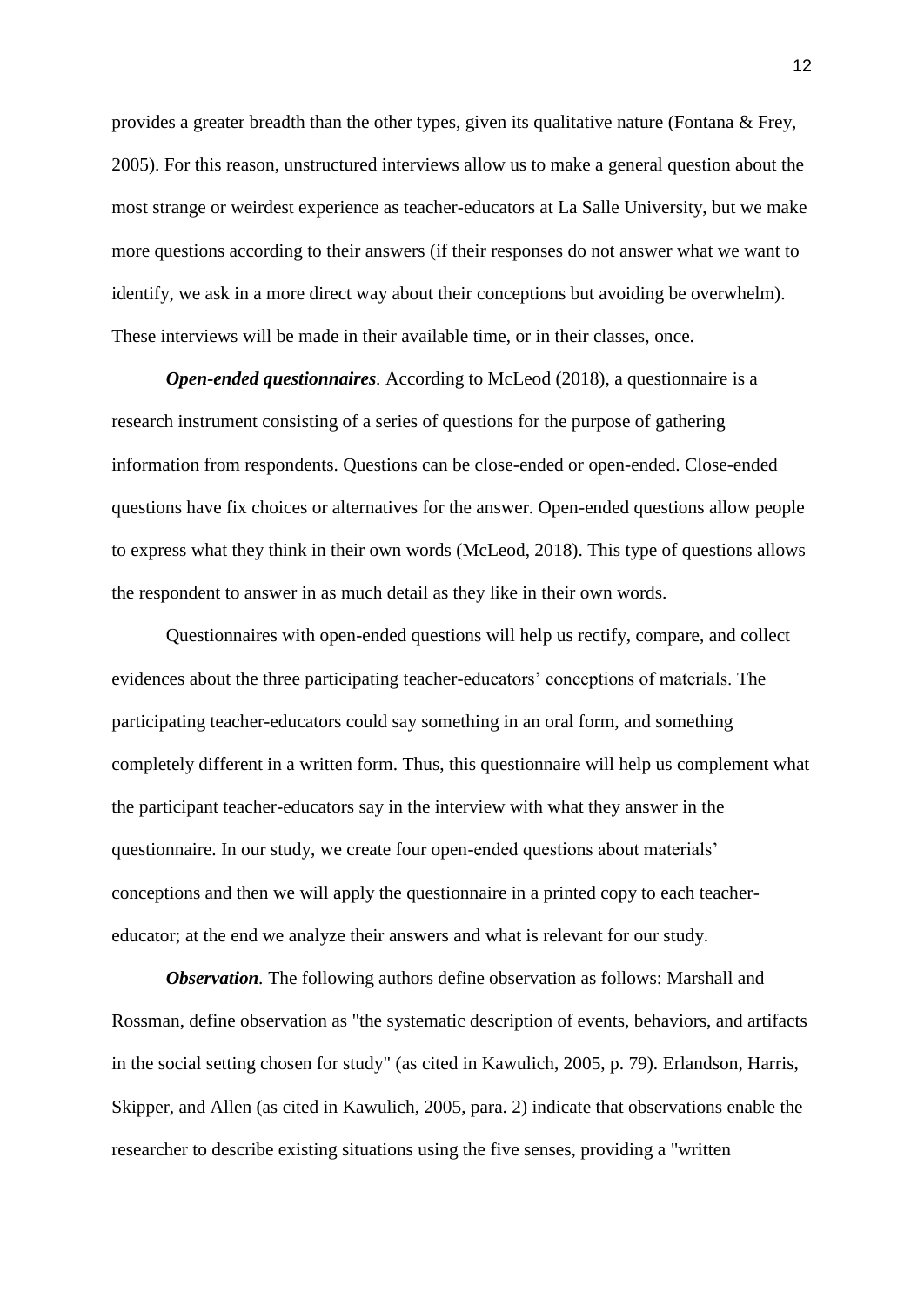provides a greater breadth than the other types, given its qualitative nature (Fontana & Frey, 2005). For this reason, unstructured interviews allow us to make a general question about the most strange or weirdest experience as teacher-educators at La Salle University, but we make more questions according to their answers (if their responses do not answer what we want to identify, we ask in a more direct way about their conceptions but avoiding be overwhelm). These interviews will be made in their available time, or in their classes, once.

*Open-ended questionnaires.* According to McLeod (2018), a questionnaire is a research instrument consisting of a series of questions for the purpose of gathering information from respondents. Questions can be close-ended or open-ended. Close-ended questions have fix choices or alternatives for the answer. Open-ended questions allow people to express what they think in their own words (McLeod, 2018). This type of questions allows the respondent to answer in as much detail as they like in their own words.

Questionnaires with open-ended questions will help us rectify, compare, and collect evidences about the three participating teacher-educators' conceptions of materials. The participating teacher-educators could say something in an oral form, and something completely different in a written form. Thus, this questionnaire will help us complement what the participant teacher-educators say in the interview with what they answer in the questionnaire. In our study, we create four open-ended questions about materials' conceptions and then we will apply the questionnaire in a printed copy to each teachereducator; at the end we analyze their answers and what is relevant for our study.

*Observation.* The following authors define observation as follows: Marshall and Rossman, define observation as "the systematic description of events, behaviors, and artifacts in the social setting chosen for study" (as cited in Kawulich, 2005, p. 79). Erlandson, Harris, Skipper, and Allen (as cited in Kawulich, 2005, para. 2) indicate that observations enable the researcher to describe existing situations using the five senses, providing a "written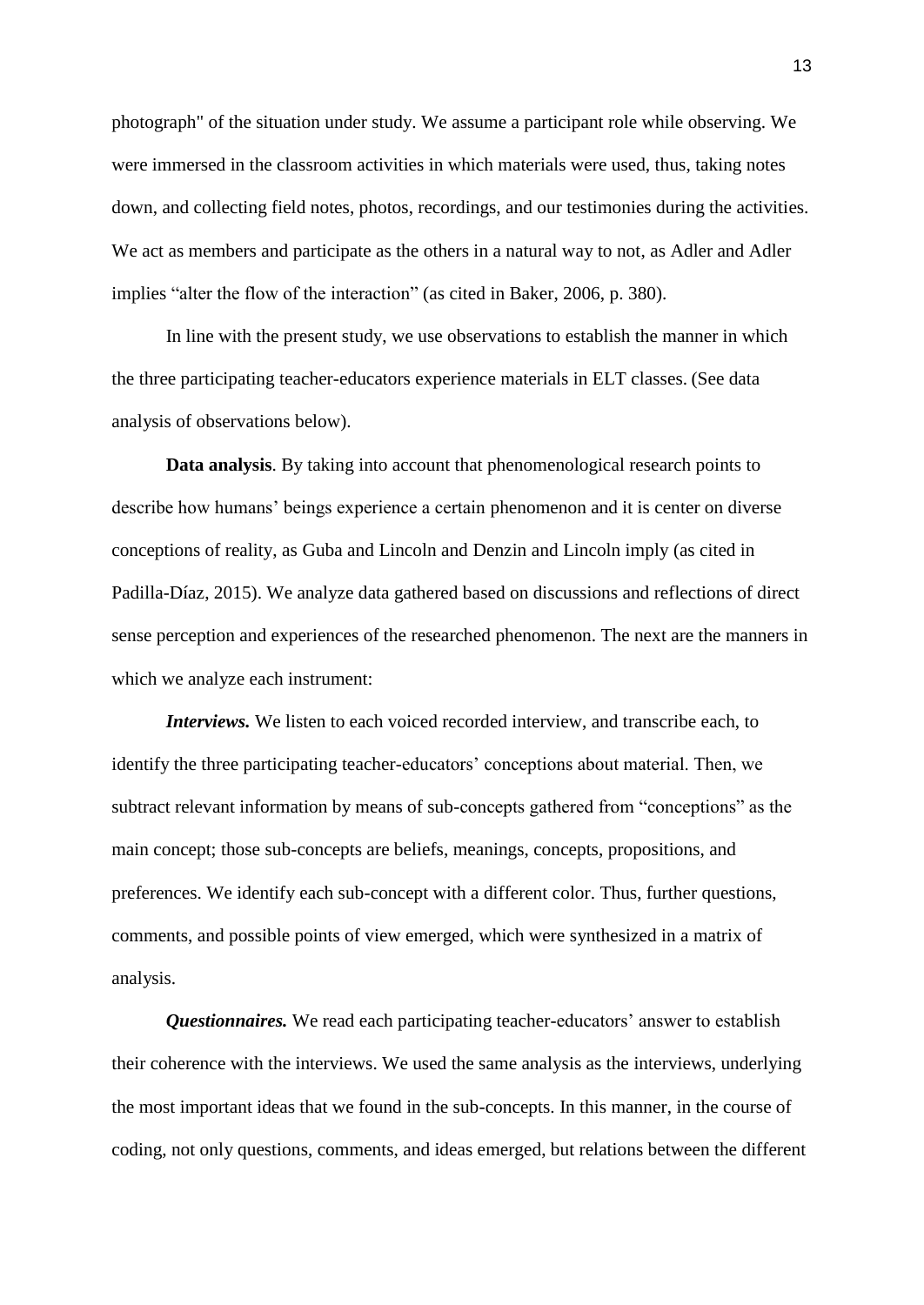photograph" of the situation under study. We assume a participant role while observing. We were immersed in the classroom activities in which materials were used, thus, taking notes down, and collecting field notes, photos, recordings, and our testimonies during the activities. We act as members and participate as the others in a natural way to not, as Adler and Adler implies "alter the flow of the interaction" (as cited in Baker, 2006, p. 380).

In line with the present study, we use observations to establish the manner in which the three participating teacher-educators experience materials in ELT classes. (See data analysis of observations below).

**Data analysis**. By taking into account that phenomenological research points to describe how humans' beings experience a certain phenomenon and it is center on diverse conceptions of reality, as Guba and Lincoln and Denzin and Lincoln imply (as cited in Padilla-Díaz, 2015). We analyze data gathered based on discussions and reflections of direct sense perception and experiences of the researched phenomenon. The next are the manners in which we analyze each instrument:

*Interviews.* We listen to each voiced recorded interview, and transcribe each, to identify the three participating teacher-educators' conceptions about material. Then, we subtract relevant information by means of sub-concepts gathered from "conceptions" as the main concept; those sub-concepts are beliefs, meanings, concepts, propositions, and preferences. We identify each sub-concept with a different color. Thus, further questions, comments, and possible points of view emerged, which were synthesized in a matrix of analysis.

*Questionnaires.* We read each participating teacher-educators' answer to establish their coherence with the interviews. We used the same analysis as the interviews, underlying the most important ideas that we found in the sub-concepts. In this manner, in the course of coding, not only questions, comments, and ideas emerged, but relations between the different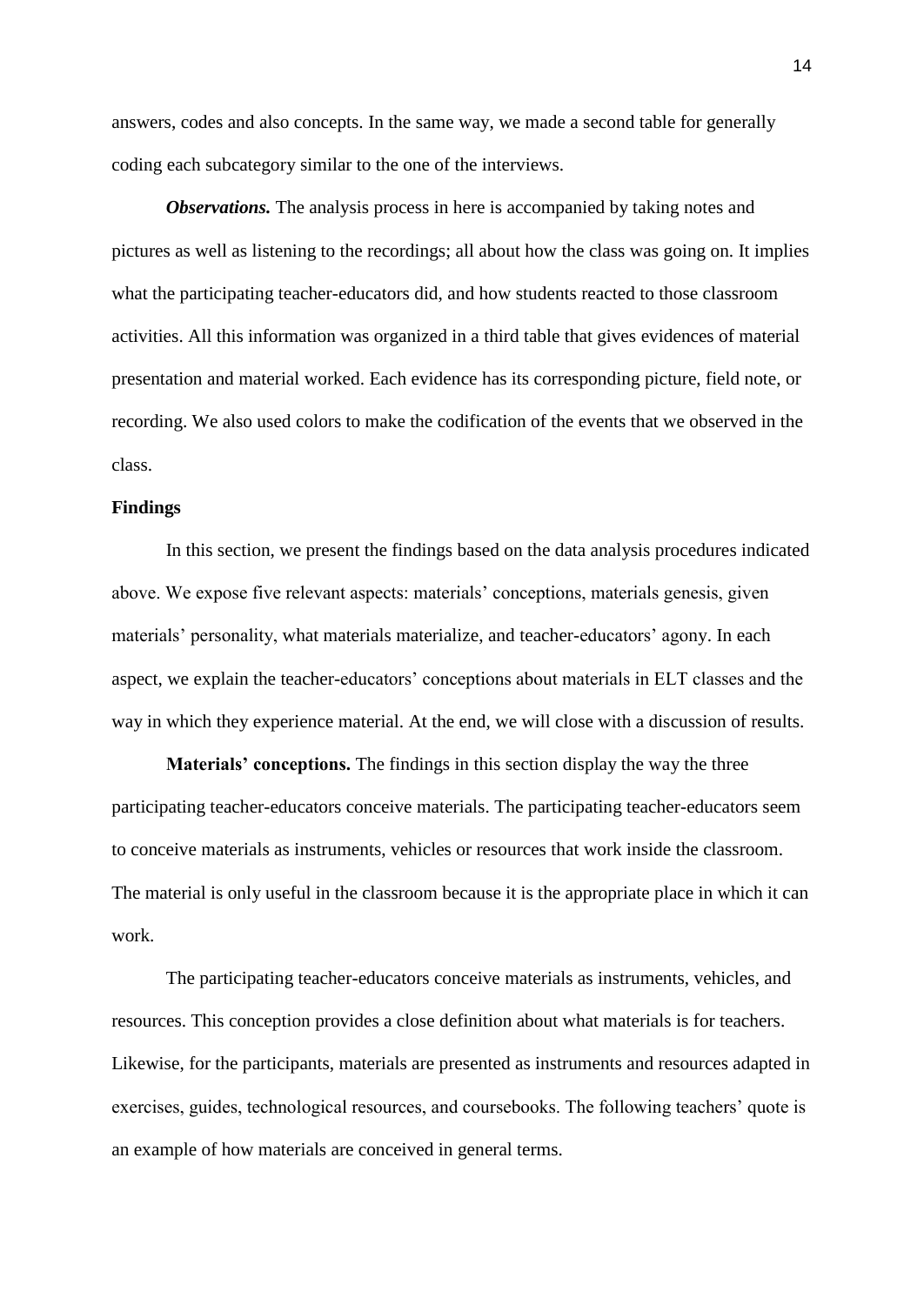answers, codes and also concepts. In the same way, we made a second table for generally coding each subcategory similar to the one of the interviews.

*Observations.* The analysis process in here is accompanied by taking notes and pictures as well as listening to the recordings; all about how the class was going on. It implies what the participating teacher-educators did, and how students reacted to those classroom activities. All this information was organized in a third table that gives evidences of material presentation and material worked. Each evidence has its corresponding picture, field note, or recording. We also used colors to make the codification of the events that we observed in the class.

#### **Findings**

In this section, we present the findings based on the data analysis procedures indicated above. We expose five relevant aspects: materials' conceptions, materials genesis, given materials' personality, what materials materialize, and teacher-educators' agony. In each aspect, we explain the teacher-educators' conceptions about materials in ELT classes and the way in which they experience material. At the end, we will close with a discussion of results.

**Materials' conceptions.** The findings in this section display the way the three participating teacher-educators conceive materials. The participating teacher-educators seem to conceive materials as instruments, vehicles or resources that work inside the classroom. The material is only useful in the classroom because it is the appropriate place in which it can work.

The participating teacher-educators conceive materials as instruments, vehicles, and resources. This conception provides a close definition about what materials is for teachers. Likewise, for the participants, materials are presented as instruments and resources adapted in exercises, guides, technological resources, and coursebooks. The following teachers' quote is an example of how materials are conceived in general terms.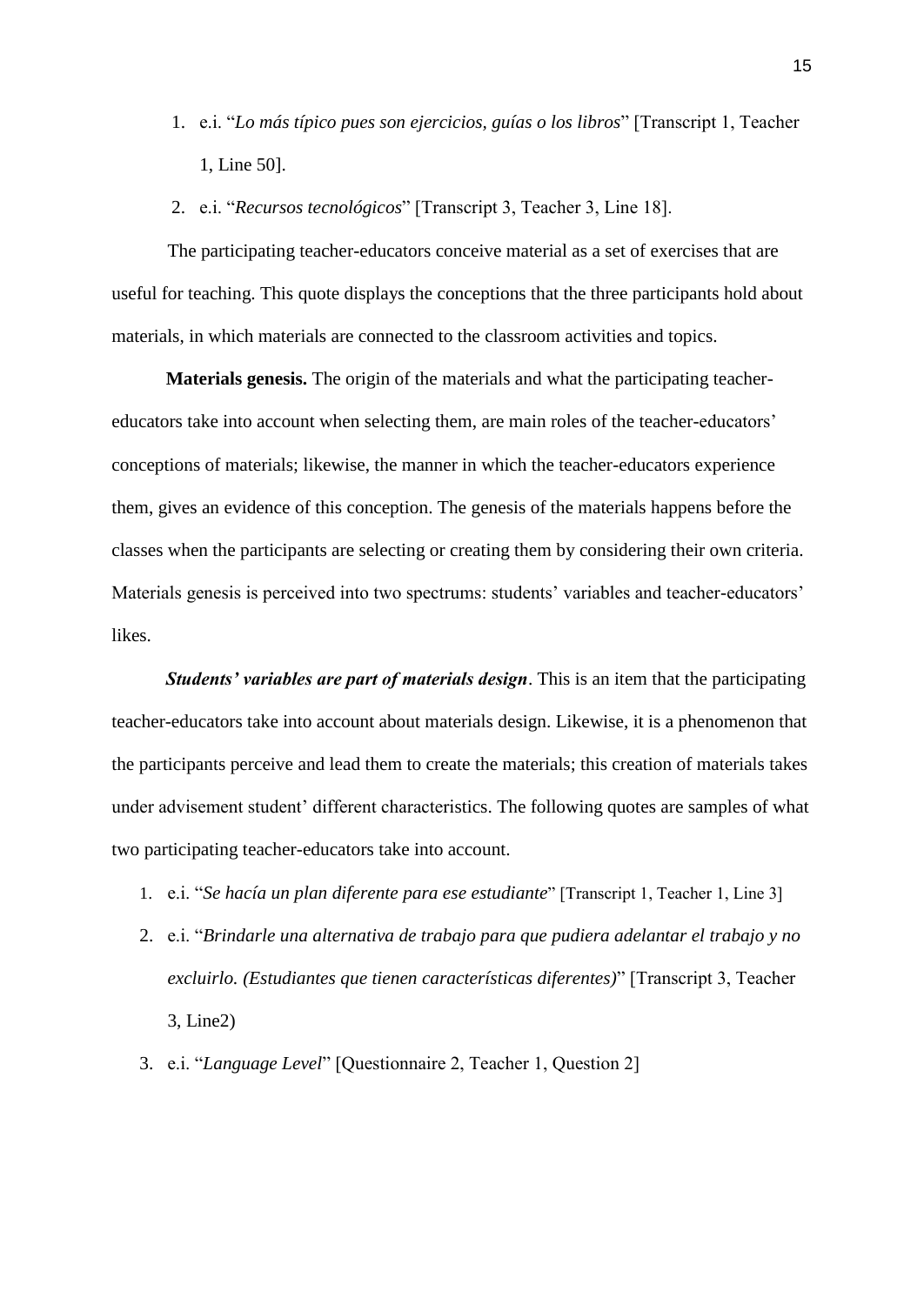- 1. e.i. "*Lo más típico pues son ejercicios, guías o los libros*" [Transcript 1, Teacher 1, Line 50].
- 2. e.i. "*Recursos tecnológicos*" [Transcript 3, Teacher 3, Line 18].

The participating teacher-educators conceive material as a set of exercises that are useful for teaching. This quote displays the conceptions that the three participants hold about materials, in which materials are connected to the classroom activities and topics.

**Materials genesis.** The origin of the materials and what the participating teachereducators take into account when selecting them, are main roles of the teacher-educators' conceptions of materials; likewise, the manner in which the teacher-educators experience them, gives an evidence of this conception. The genesis of the materials happens before the classes when the participants are selecting or creating them by considering their own criteria. Materials genesis is perceived into two spectrums: students' variables and teacher-educators' likes.

*Students' variables are part of materials design*. This is an item that the participating teacher-educators take into account about materials design. Likewise, it is a phenomenon that the participants perceive and lead them to create the materials; this creation of materials takes under advisement student' different characteristics. The following quotes are samples of what two participating teacher-educators take into account.

- 1. e.i. "*Se hacía un plan diferente para ese estudiante*" [Transcript 1, Teacher 1, Line 3]
- 2. e.i. "*Brindarle una alternativa de trabajo para que pudiera adelantar el trabajo y no excluirlo. (Estudiantes que tienen características diferentes)*" [Transcript 3, Teacher 3, Line2)
- 3. e.i. "*Language Level*" [Questionnaire 2, Teacher 1, Question 2]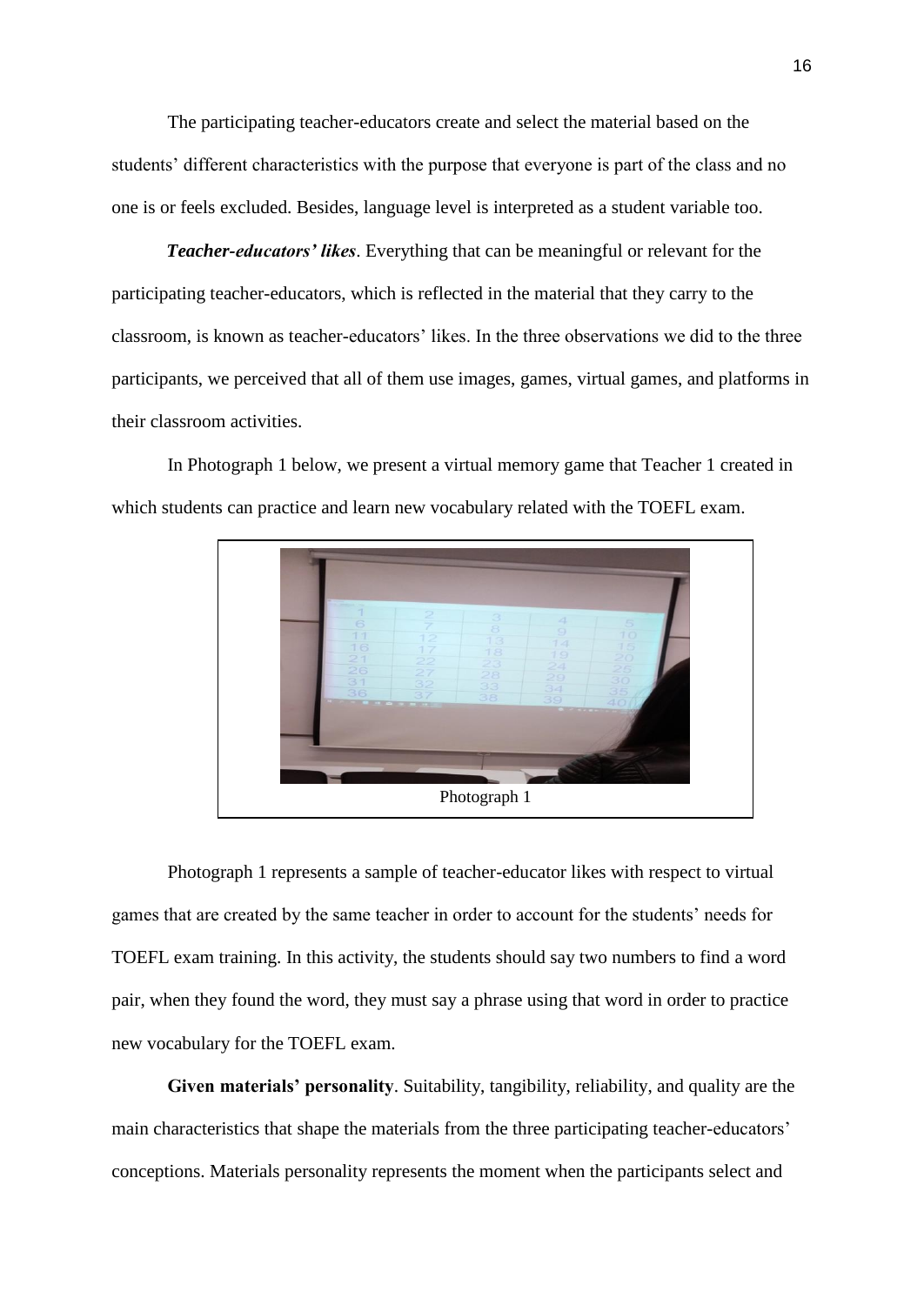The participating teacher-educators create and select the material based on the students' different characteristics with the purpose that everyone is part of the class and no one is or feels excluded. Besides, language level is interpreted as a student variable too.

*Teacher-educators' likes*. Everything that can be meaningful or relevant for the participating teacher-educators, which is reflected in the material that they carry to the classroom, is known as teacher-educators' likes. In the three observations we did to the three participants, we perceived that all of them use images, games, virtual games, and platforms in their classroom activities.

In Photograph 1 below, we present a virtual memory game that Teacher 1 created in which students can practice and learn new vocabulary related with the TOEFL exam.



Photograph 1 represents a sample of teacher-educator likes with respect to virtual games that are created by the same teacher in order to account for the students' needs for TOEFL exam training. In this activity, the students should say two numbers to find a word pair, when they found the word, they must say a phrase using that word in order to practice new vocabulary for the TOEFL exam.

**Given materials' personality**. Suitability, tangibility, reliability, and quality are the main characteristics that shape the materials from the three participating teacher-educators' conceptions. Materials personality represents the moment when the participants select and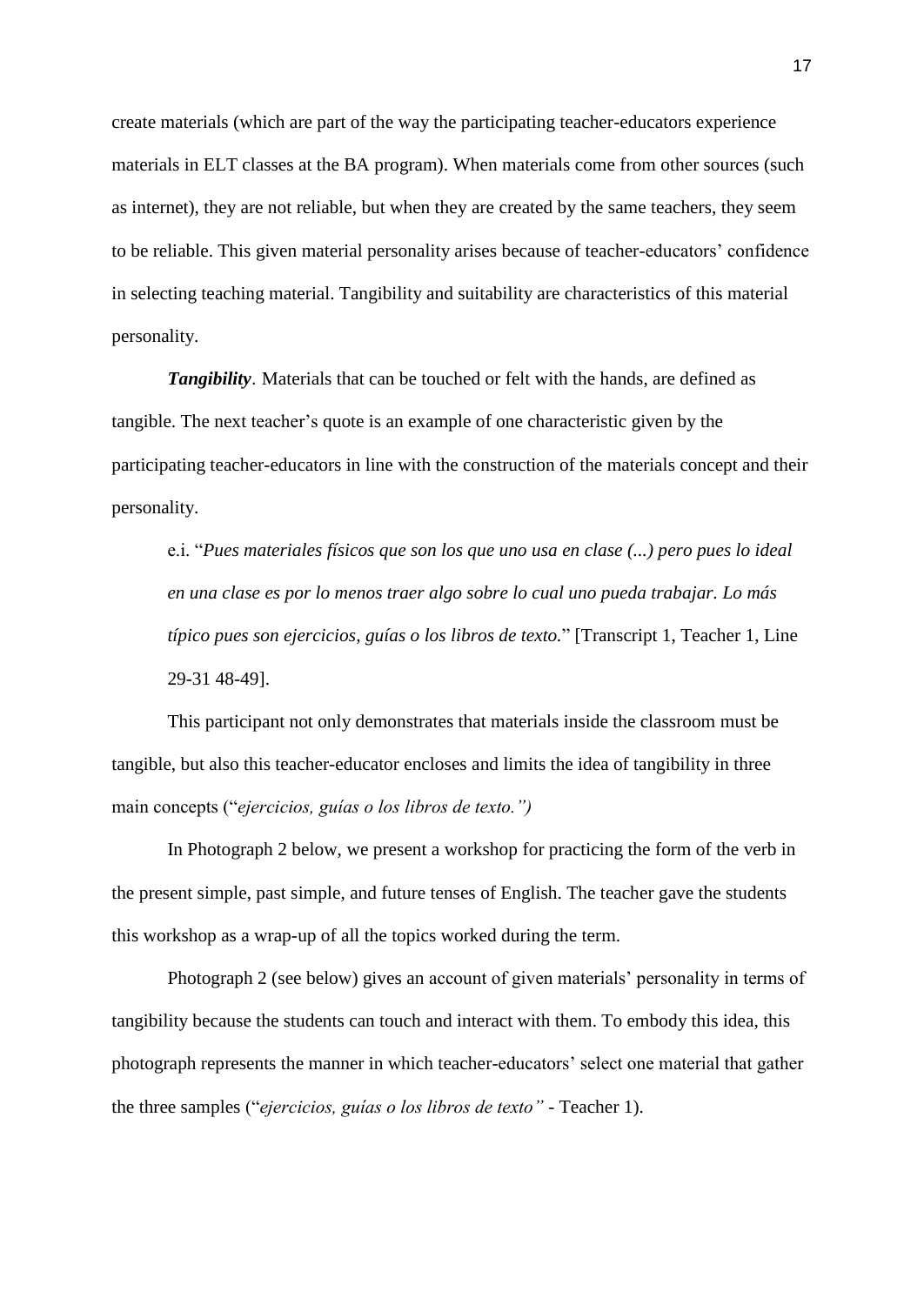create materials (which are part of the way the participating teacher-educators experience materials in ELT classes at the BA program). When materials come from other sources (such as internet), they are not reliable, but when they are created by the same teachers, they seem to be reliable. This given material personality arises because of teacher-educators' confidence in selecting teaching material. Tangibility and suitability are characteristics of this material personality.

*Tangibility*. Materials that can be touched or felt with the hands, are defined as tangible. The next teacher's quote is an example of one characteristic given by the participating teacher-educators in line with the construction of the materials concept and their personality.

e.i. "*Pues materiales físicos que son los que uno usa en clase (...) pero pues lo ideal en una clase es por lo menos traer algo sobre lo cual uno pueda trabajar. Lo más típico pues son ejercicios, guías o los libros de texto.*" [Transcript 1, Teacher 1, Line 29-31 48-49].

This participant not only demonstrates that materials inside the classroom must be tangible, but also this teacher-educator encloses and limits the idea of tangibility in three main concepts ("*ejercicios, guías o los libros de texto.")* 

In Photograph 2 below, we present a workshop for practicing the form of the verb in the present simple, past simple, and future tenses of English. The teacher gave the students this workshop as a wrap-up of all the topics worked during the term.

Photograph 2 (see below) gives an account of given materials' personality in terms of tangibility because the students can touch and interact with them. To embody this idea, this photograph represents the manner in which teacher-educators' select one material that gather the three samples ("*ejercicios, guías o los libros de texto" -* Teacher 1).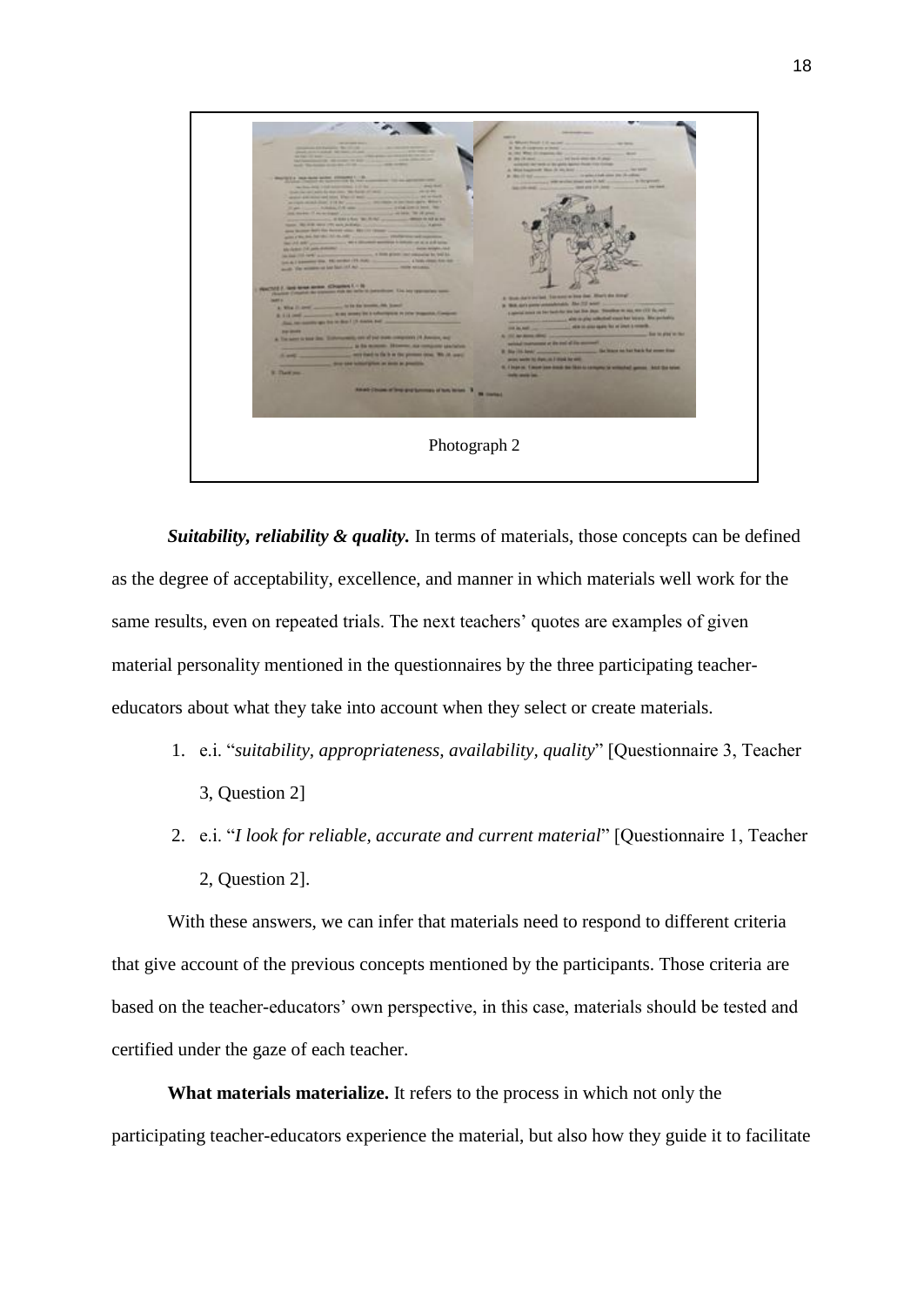

*Suitability, reliability & quality.* In terms of materials, those concepts can be defined as the degree of [acceptability,](https://dictionary.cambridge.org/es/diccionario/ingles/acceptable) excellence, and manner in which materials well [work](https://dictionary.cambridge.org/es/diccionario/ingles/works) for the same results, even on repeated trials. The next teachers' quotes are examples of given material personality mentioned in the questionnaires by the three participating teachereducators about what they take into account when they select or create materials.

- 1. e.i. "*suitability, appropriateness, availability, quality*" [Questionnaire 3, Teacher 3, Question 2]
- 2. e.i. "*I look for reliable, accurate and current material*" [Questionnaire 1, Teacher 2, Question 2].

With these answers, we can infer that materials need to respond to different criteria that give account of the previous concepts mentioned by the participants. Those criteria are based on the teacher-educators' own perspective, in this case, materials should be tested and certified under the gaze of each teacher.

**What materials materialize.** It refers to the process in which not only the participating teacher-educators experience the material, but also how they guide it to facilitate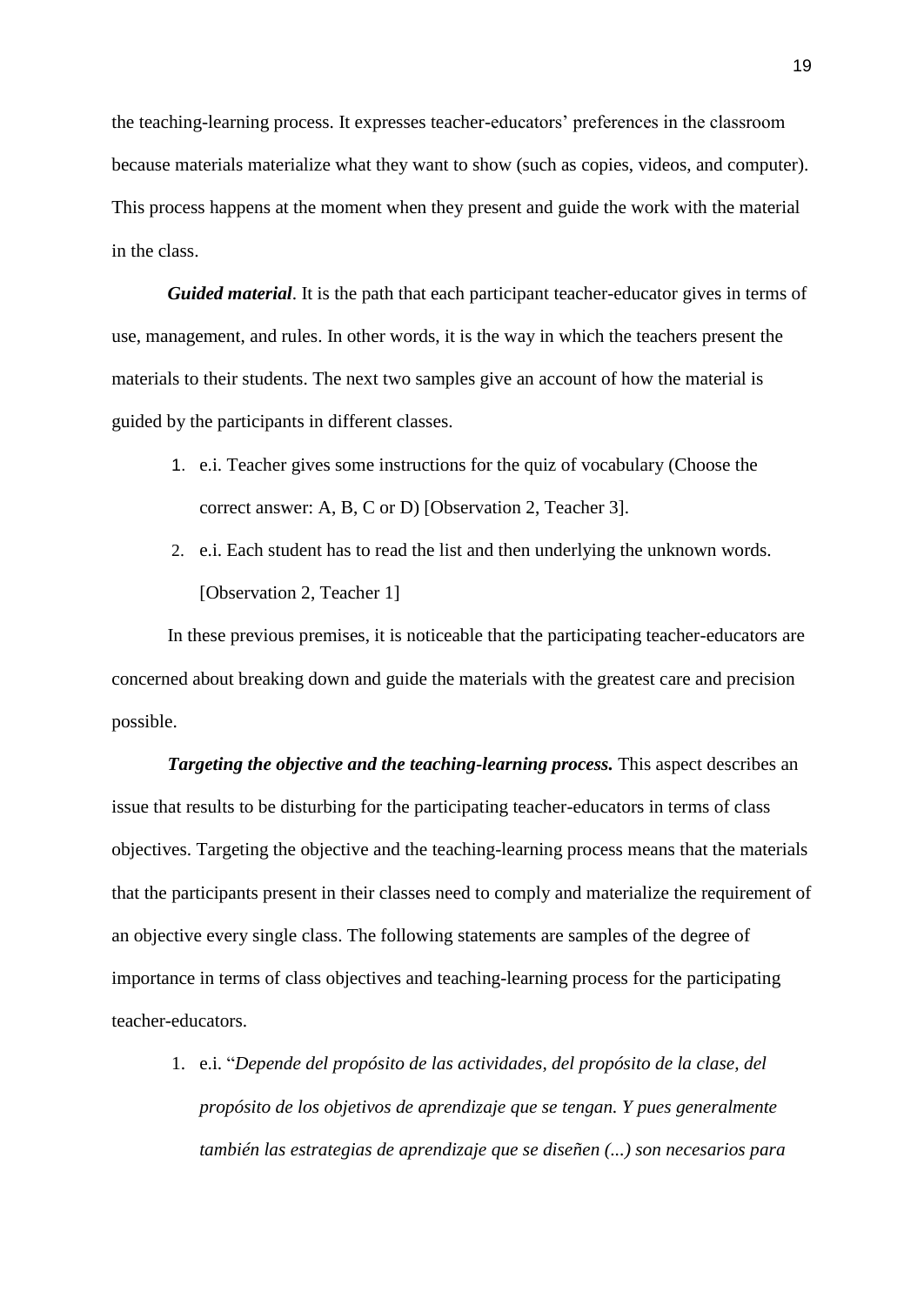the teaching-learning process. It expresses teacher-educators' preferences in the classroom because materials materialize what they want to show (such as copies, videos, and computer). This process happens at the moment when they present and guide the work with the material in the class.

*Guided material*. It is the path that each participant teacher-educator gives in terms of use, management, and rules. In other words, it is the way in which the teachers present the materials to their students. The next two samples give an account of how the material is guided by the participants in different classes.

- 1. e.i. Teacher gives some instructions for the quiz of vocabulary (Choose the correct answer: A, B, C or D) [Observation 2, Teacher 3].
- 2. e.i. Each student has to read the list and then underlying the unknown words. [Observation 2, Teacher 1]

In these previous premises, it is noticeable that the participating teacher-educators are concerned about breaking down and guide the materials with the greatest care and precision possible.

*Targeting the objective and the teaching-learning process.* This aspect describes an issue that results to be disturbing for the participating teacher-educators in terms of class objectives. Targeting the objective and the teaching-learning process means that the materials that the participants present in their classes need to comply and materialize the requirement of an objective every single class. The following statements are samples of the degree of importance in terms of class objectives and teaching-learning process for the participating teacher-educators.

1. e.i. "*Depende del propósito de las actividades, del propósito de la clase, del propósito de los objetivos de aprendizaje que se tengan. Y pues generalmente también las estrategias de aprendizaje que se diseñen (...) son necesarios para*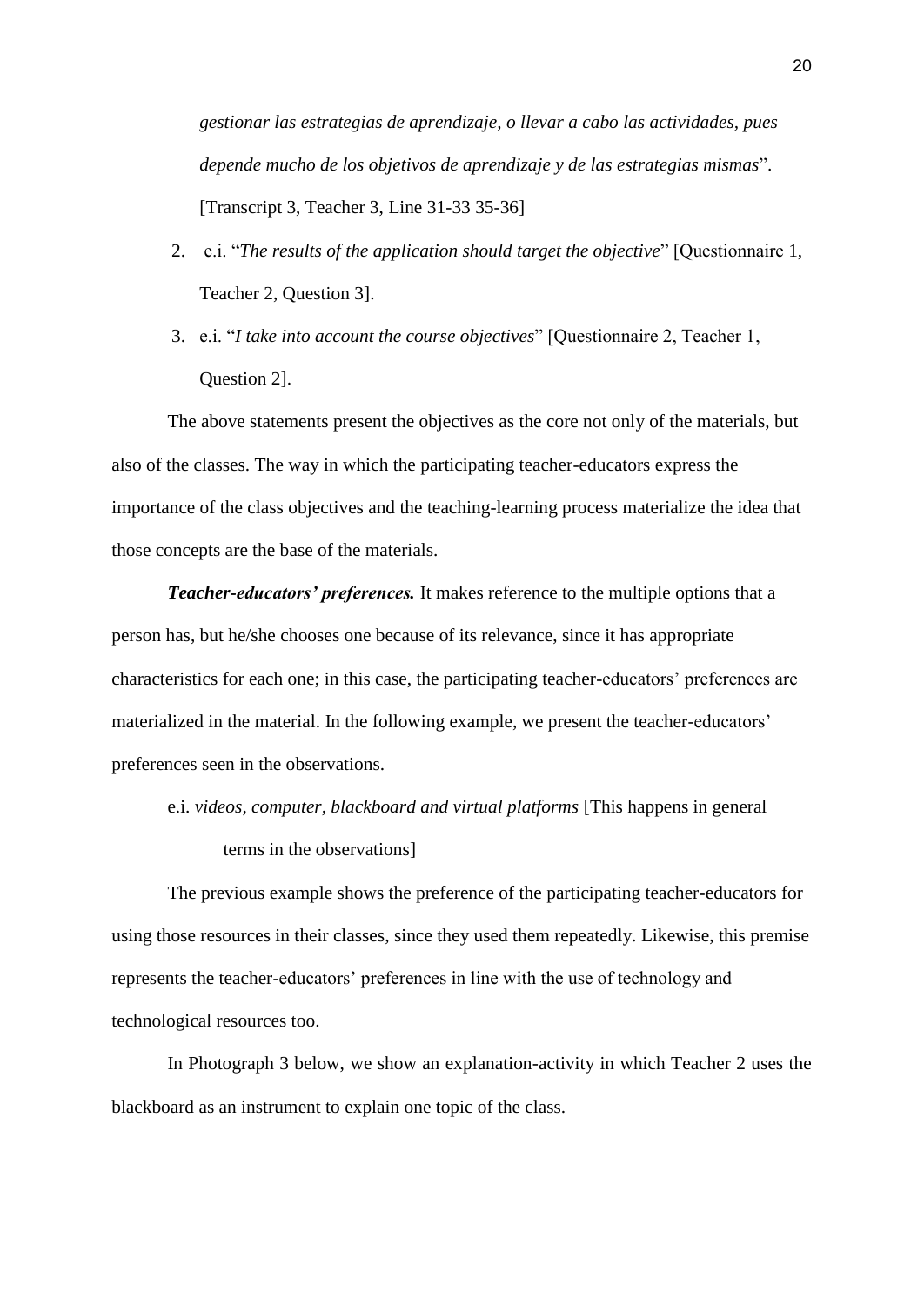*gestionar las estrategias de aprendizaje, o llevar a cabo las actividades, pues depende mucho de los objetivos de aprendizaje y de las estrategias mismas*". [Transcript 3, Teacher 3, Line 31-33 35-36]

- 2. e.i. "*The results of the application should target the objective*" [Questionnaire 1, Teacher 2, Question 3].
- 3. e.i. "*I take into account the course objectives*" [Questionnaire 2, Teacher 1, Question 2].

The above statements present the objectives as the core not only of the materials, but also of the classes. The way in which the participating teacher-educators express the importance of the class objectives and the teaching-learning process materialize the idea that those concepts are the base of the materials.

*Teacher-educators' preferences.* It makes reference to the multiple options that a person has, but he/she chooses one because of its relevance, since it has appropriate characteristics for each one; in this case, the participating teacher-educators' preferences are materialized in the material. In the following example, we present the teacher-educators' preferences seen in the observations.

e.i. *videos, computer, blackboard and virtual platforms* [This happens in general terms in the observations]

The previous example shows the preference of the participating teacher-educators for using those resources in their classes, since they used them repeatedly. Likewise, this premise represents the teacher-educators' preferences in line with the use of technology and technological resources too.

In Photograph 3 below, we show an explanation-activity in which Teacher 2 uses the blackboard as an instrument to explain one topic of the class.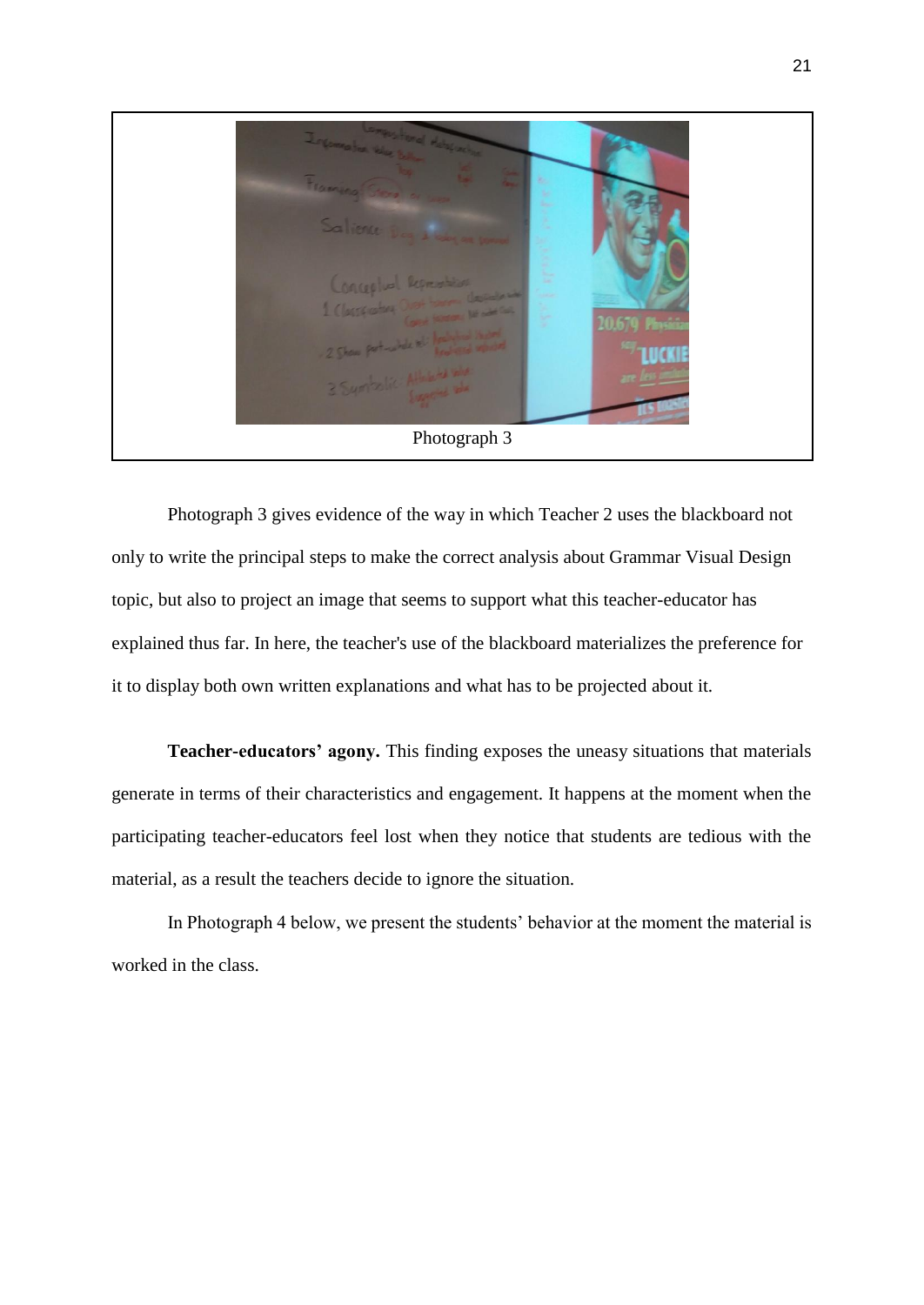

Photograph 3 gives evidence of the way in which Teacher 2 uses the blackboard not only to write the principal steps to make the correct analysis about Grammar Visual Design topic, but also to project an image that seems to support what this teacher-educator has explained thus far. In here, the teacher's use of the blackboard materializes the preference for it to display both own written explanations and what has to be projected about it.

**Teacher-educators' agony.** This finding exposes the uneasy situations that materials generate in terms of their characteristics and engagement. It happens at the moment when the participating teacher-educators feel lost when they notice that students are tedious with the material, as a result the teachers decide to ignore the situation.

In Photograph 4 below, we present the students' behavior at the moment the material is worked in the class.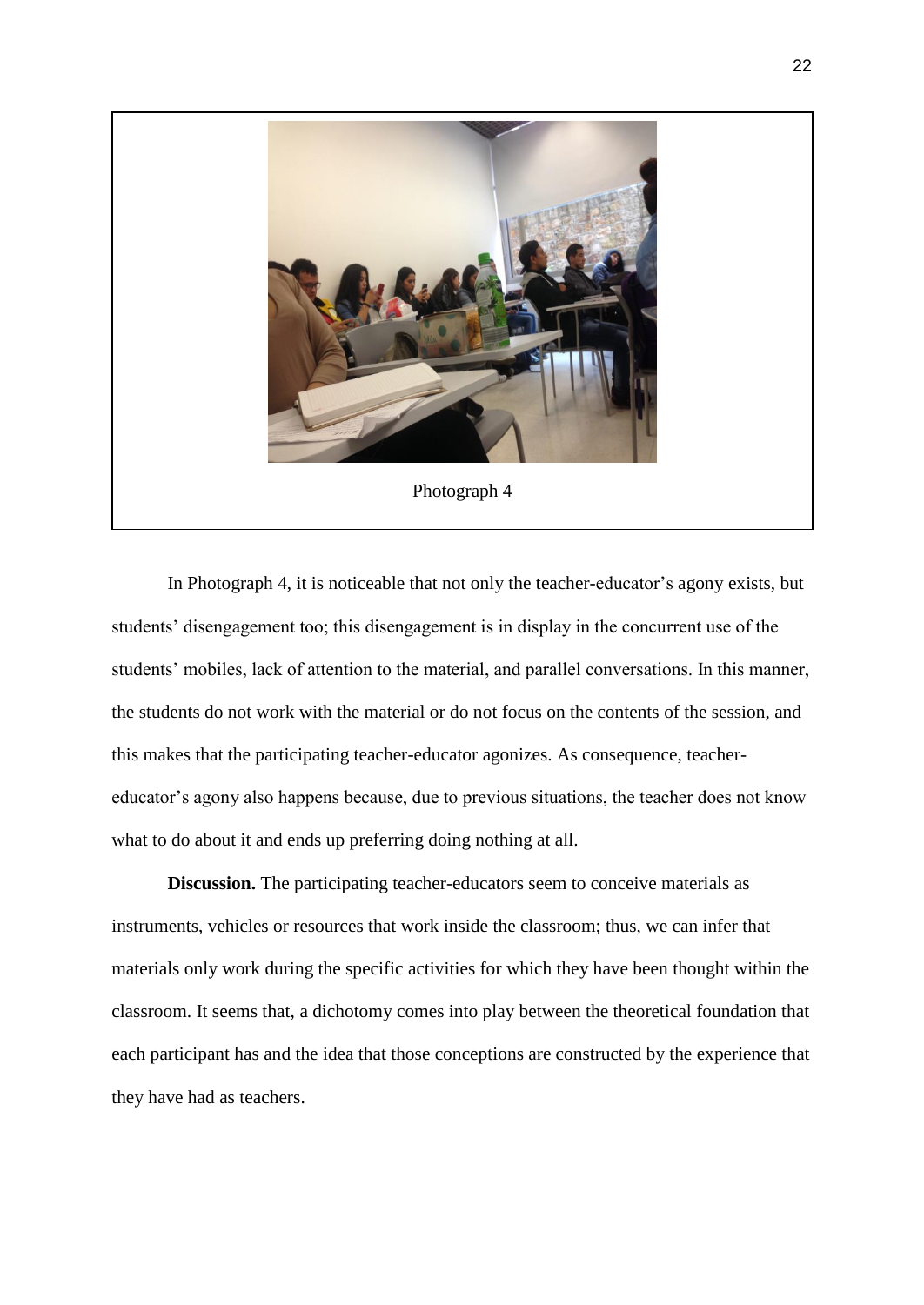

In Photograph 4, it is noticeable that not only the teacher-educator's agony exists, but students' disengagement too; this disengagement is in display in the concurrent use of the students' mobiles, lack of attention to the material, and parallel conversations. In this manner, the students do not work with the material or do not focus on the contents of the session, and this makes that the participating teacher-educator agonizes. As consequence, teachereducator's agony also happens because, due to previous situations, the teacher does not know what to do about it and ends up preferring doing nothing at all.

**Discussion.** The participating teacher-educators seem to conceive materials as instruments, vehicles or resources that work inside the classroom; thus, we can infer that materials only work during the specific activities for which they have been thought within the classroom. It seems that, a dichotomy comes into play between the theoretical foundation that each participant has and the idea that those conceptions are constructed by the experience that they have had as teachers.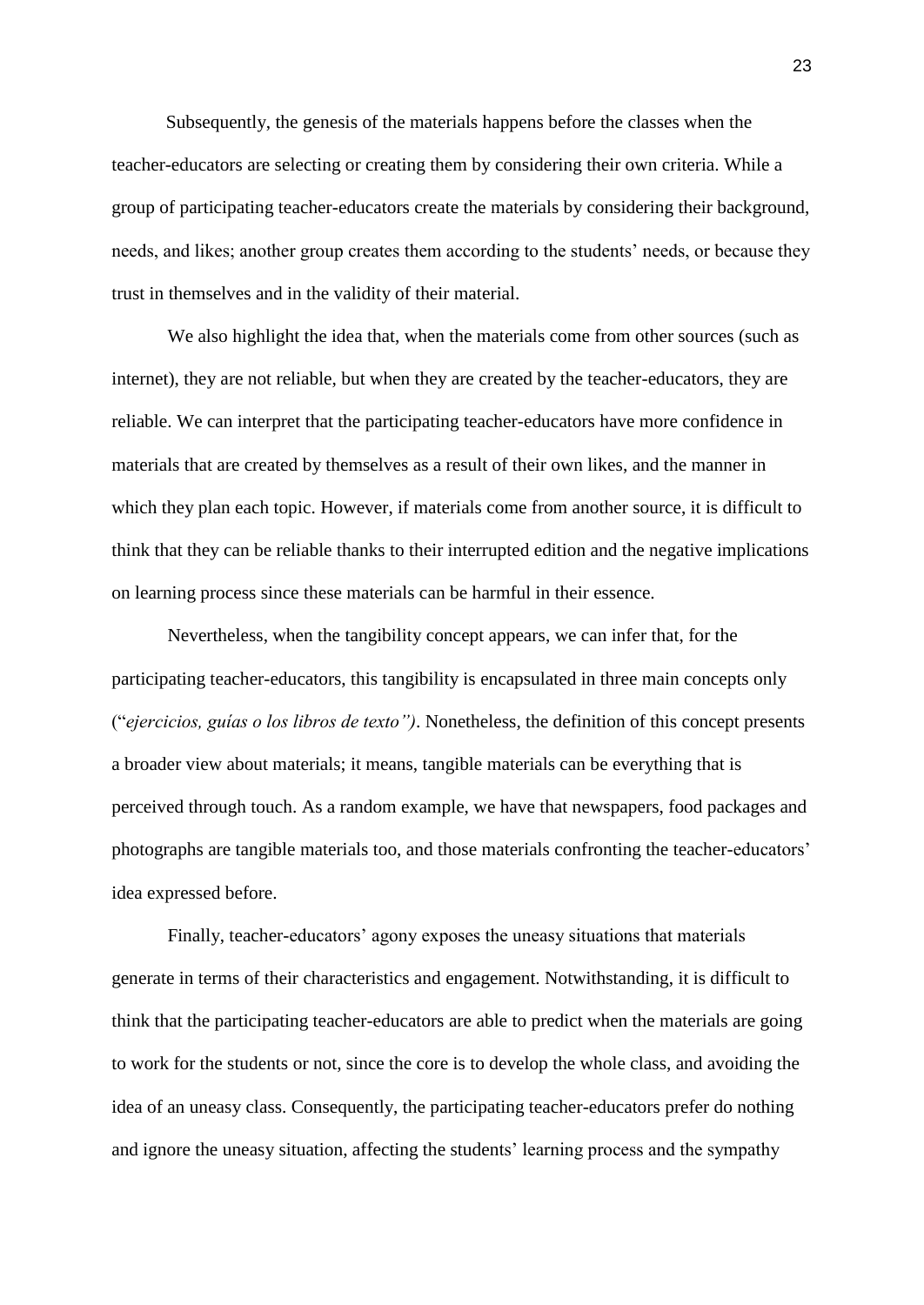Subsequently, the genesis of the materials happens before the classes when the teacher-educators are selecting or creating them by considering their own criteria. While a group of participating teacher-educators create the materials by considering their background, needs, and likes; another group creates them according to the students' needs, or because they trust in themselves and in the validity of their material.

We also highlight the idea that, when the materials come from other sources (such as internet), they are not reliable, but when they are created by the teacher-educators, they are reliable. We can interpret that the participating teacher-educators have more confidence in materials that are created by themselves as a result of their own likes, and the manner in which they plan each topic. However, if materials come from another source, it is difficult to think that they can be reliable thanks to their interrupted edition and the negative implications on learning process since these materials can be harmful in their essence.

Nevertheless, when the tangibility concept appears, we can infer that, for the participating teacher-educators, this tangibility is encapsulated in three main concepts only ("*ejercicios, guías o los libros de texto")*. Nonetheless, the definition of this concept presents a broader view about materials; it means, tangible materials can be everything that is perceived through touch. As a random example, we have that newspapers, food packages and photographs are tangible materials too, and those materials confronting the teacher-educators' idea expressed before.

Finally, teacher-educators' agony exposes the uneasy situations that materials generate in terms of their characteristics and engagement. Notwithstanding, it is difficult to think that the participating teacher-educators are able to predict when the materials are going to work for the students or not, since the core is to develop the whole class, and avoiding the idea of an uneasy class. Consequently, the participating teacher-educators prefer do nothing and ignore the uneasy situation, affecting the students' learning process and the sympathy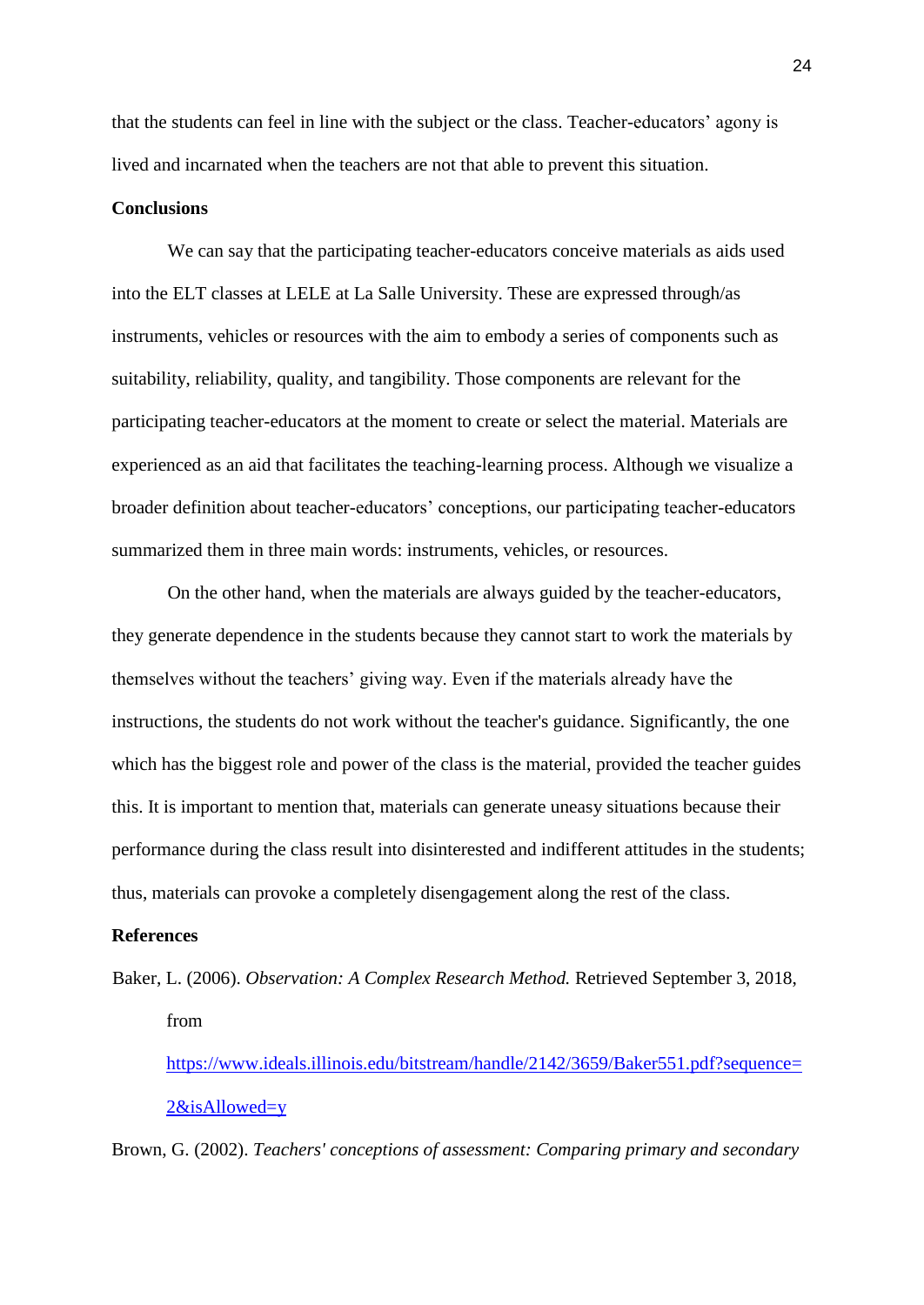that the students can feel in line with the subject or the class. Teacher-educators' agony is lived and incarnated when the teachers are not that able to prevent this situation.

#### **Conclusions**

We can say that the participating teacher-educators conceive materials as aids used into the ELT classes at LELE at La Salle University. These are expressed through/as instruments, vehicles or resources with the aim to embody a series of components such as suitability, reliability, quality, and tangibility. Those components are relevant for the participating teacher-educators at the moment to create or select the material. Materials are experienced as an aid that facilitates the teaching-learning process. Although we visualize a broader definition about teacher-educators' conceptions, our participating teacher-educators summarized them in three main words: instruments, vehicles, or resources.

On the other hand, when the materials are always guided by the teacher-educators, they generate dependence in the students because they cannot start to work the materials by themselves without the teachers' giving way. Even if the materials already have the instructions, the students do not work without the teacher's guidance. Significantly, the one which has the biggest role and power of the class is the material, provided the teacher guides this. It is important to mention that, materials can generate uneasy situations because their performance during the class result into disinterested and indifferent attitudes in the students; thus, materials can provoke a completely disengagement along the rest of the class.

#### **References**

Baker, L. (2006). *Observation: A Complex Research Method.* Retrieved September 3, 2018, from

[https://www.ideals.illinois.edu/bitstream/handle/2142/3659/Baker551.pdf?sequence=](https://www.ideals.illinois.edu/bitstream/handle/2142/3659/Baker551.pdf?sequence=2&isAllowed=y) [2&isAllowed=y](https://www.ideals.illinois.edu/bitstream/handle/2142/3659/Baker551.pdf?sequence=2&isAllowed=y)

Brown, G. (2002). *Teachers' conceptions of assessment: Comparing primary and secondary*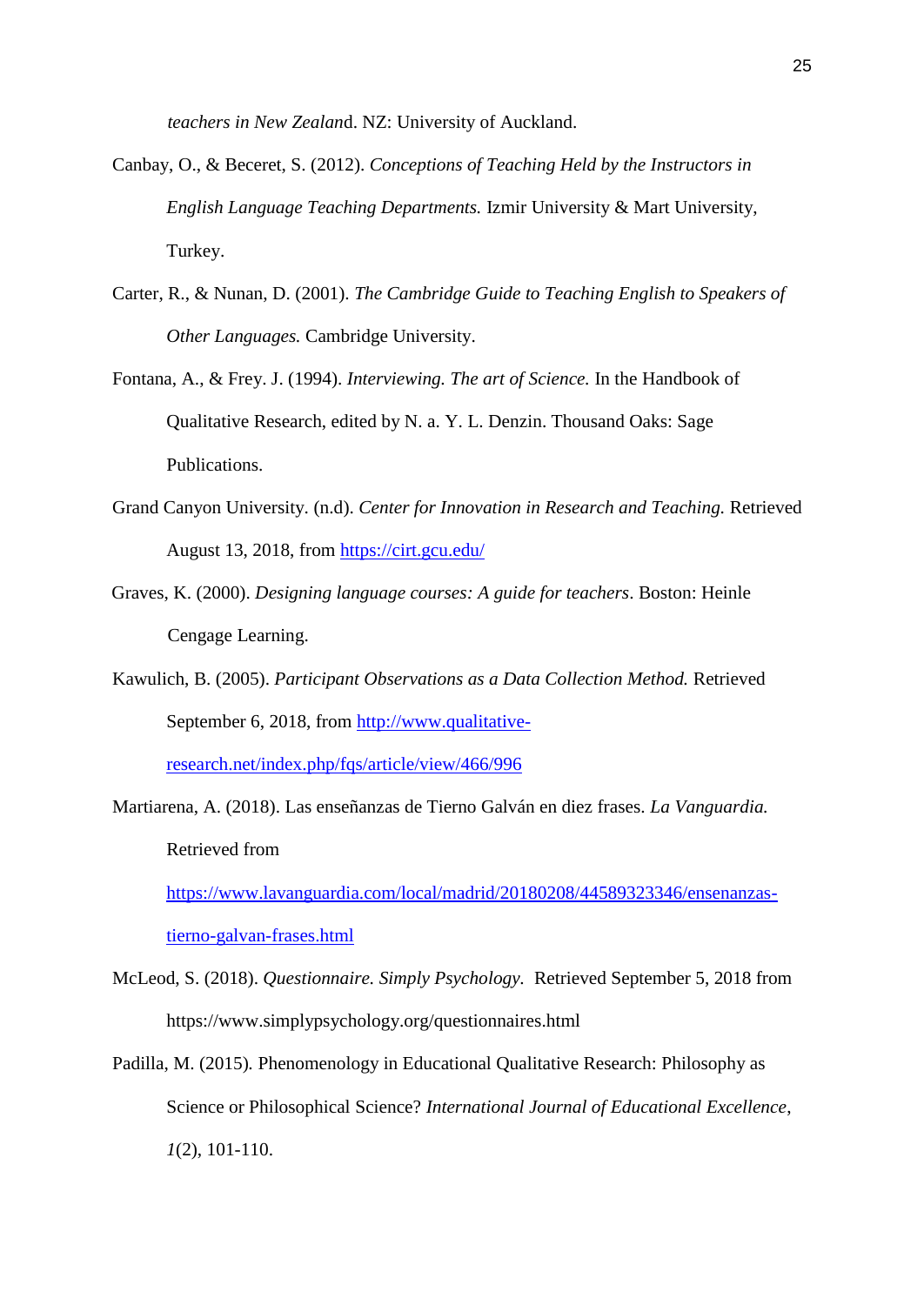*teachers in New Zealan*d. NZ: University of Auckland.

- Canbay, O., & Beceret, S. (2012). *Conceptions of Teaching Held by the Instructors in English Language Teaching Departments.* Izmir University & Mart University, Turkey.
- Carter, R., & Nunan, D. (2001). *The Cambridge Guide to Teaching English to Speakers of Other Languages.* Cambridge University.
- Fontana, A., & Frey. J. (1994). *Interviewing. The art of Science.* In the Handbook of Qualitative Research, edited by N. a. Y. L. Denzin. Thousand Oaks: Sage Publications.
- Grand Canyon University. (n.d). *Center for Innovation in Research and Teaching.* Retrieved August 13, 2018, from<https://cirt.gcu.edu/>
- Graves, K. (2000). *Designing language courses: A guide for teachers*. Boston: Heinle Cengage Learning.
- Kawulich, B. (2005). *Participant Observations as a Data Collection Method.* Retrieved September 6, 2018, from [http://www.qualitative-](http://www.qualitative-research.net/index.php/fqs/article/view/466/996)

[research.net/index.php/fqs/article/view/466/996](http://www.qualitative-research.net/index.php/fqs/article/view/466/996)

Martiarena, A. (2018). Las enseñanzas de Tierno Galván en diez frases. *La Vanguardia.*  Retrieved from [https://www.lavanguardia.com/local/madrid/20180208/44589323346/ensenanzas-](https://www.lavanguardia.com/local/madrid/20180208/44589323346/ensenanzas-tierno-galvan-frases.html)

[tierno-galvan-frases.html](https://www.lavanguardia.com/local/madrid/20180208/44589323346/ensenanzas-tierno-galvan-frases.html)

- McLeod, S. (2018). *Questionnaire. Simply Psychology.* Retrieved September 5, 2018 from https://www.simplypsychology.org/questionnaires.html
- Padilla, M. (2015)*.* Phenomenology in Educational Qualitative Research: Philosophy as Science or Philosophical Science? *International Journal of Educational Excellence*, *1*(2), 101-110.